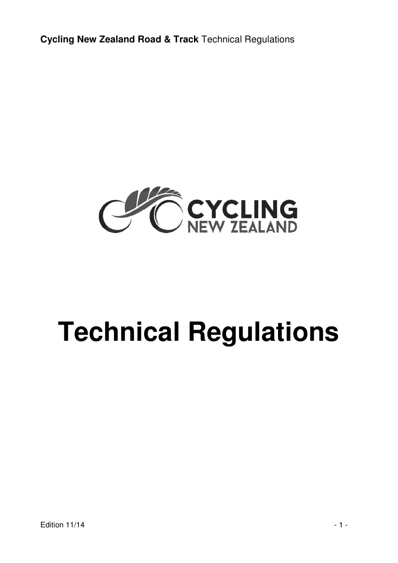

# **Technical Regulations**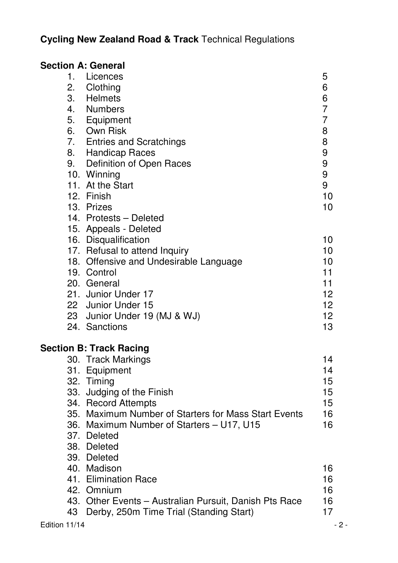| <b>Section A: General</b> |                                                        |                |
|---------------------------|--------------------------------------------------------|----------------|
| 1.                        | Licences                                               | 5              |
| 2.                        | Clothing                                               | 6              |
| 3.                        | Helmets                                                | 6              |
| 4.                        | Numbers                                                | 7              |
| 5.                        | Equipment                                              | $\overline{7}$ |
| 6.                        | Own Risk                                               | 8              |
| 7.                        | <b>Entries and Scratchings</b>                         | 8              |
|                           | 8. Handicap Races                                      | 9              |
|                           | 9. Definition of Open Races                            | 9              |
|                           | 10. Winning                                            | 9              |
|                           | 11. At the Start                                       | 9              |
|                           | 12. Finish                                             | 10             |
|                           | 13. Prizes                                             | 10             |
|                           | 14. Protests - Deleted                                 |                |
|                           | 15. Appeals - Deleted                                  |                |
|                           | 16. Disqualification                                   | 10             |
|                           | 17. Refusal to attend Inquiry                          | 10             |
|                           | 18. Offensive and Undesirable Language                 | 10             |
|                           | 19. Control                                            | 11             |
|                           | 20. General                                            | 11             |
|                           | 21. Junior Under 17                                    | 12             |
|                           | 22 Junior Under 15                                     | 12             |
|                           | 23 Junior Under 19 (MJ & WJ)                           | 12             |
|                           | 24. Sanctions                                          | 13             |
|                           | <b>Section B: Track Racing</b>                         |                |
|                           | 30. Track Markings                                     | 14             |
|                           | 31. Equipment                                          | 14             |
|                           | 32. Timing                                             | 15             |
|                           | 33. Judging of the Finish                              | 15             |
|                           | 34. Record Attempts                                    | 15             |
|                           | 35. Maximum Number of Starters for Mass Start Events   | 16             |
|                           | 36. Maximum Number of Starters - U17, U15              | 16             |
|                           | 37. Deleted                                            |                |
|                           | 38. Deleted                                            |                |
|                           | 39. Deleted                                            |                |
|                           | 40. Madison                                            | 16             |
|                           | 41. Elimination Race                                   | 16             |
|                           | 42. Omnium                                             | 16             |
|                           | 43. Other Events - Australian Pursuit, Danish Pts Race | 16             |
| 43                        | Derby, 250m Time Trial (Standing Start)                | 17             |
| Edition 11/14             |                                                        | - 2 -          |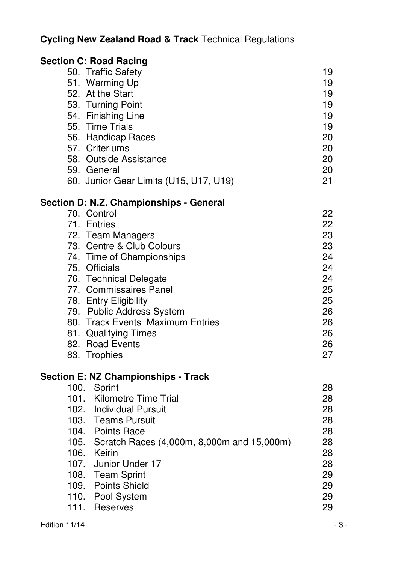|             | <b>Section C: Road Racing</b>                   |    |
|-------------|-------------------------------------------------|----|
|             | 50. Traffic Safety                              | 19 |
|             | 51. Warming Up                                  | 19 |
|             | 52. At the Start                                | 19 |
|             | 53. Turning Point                               | 19 |
|             | 54. Finishing Line                              | 19 |
|             | 55. Time Trials                                 | 19 |
|             | 56. Handicap Races                              | 20 |
|             | 57. Criteriums                                  | 20 |
|             | 58. Outside Assistance                          | 20 |
|             | 59. General                                     | 20 |
|             | 60. Junior Gear Limits (U15, U17, U19)          | 21 |
|             | Section D: N.Z. Championships - General         |    |
| 70. Control |                                                 | 22 |
| 71. Entries |                                                 | 22 |
|             | 72. Team Managers                               | 23 |
|             | 73. Centre & Club Colours                       | 23 |
|             | 74. Time of Championships                       | 24 |
|             | 75. Officials                                   | 24 |
|             | 76. Technical Delegate                          | 24 |
|             | 77. Commissaires Panel                          | 25 |
|             | 78. Entry Eligibility                           | 25 |
|             | 79. Public Address System                       | 26 |
|             | 80. Track Events Maximum Entries                | 26 |
|             | 81. Qualifying Times                            | 26 |
|             | 82. Road Events                                 | 26 |
|             | 83. Trophies                                    | 27 |
|             | <b>Section E: NZ Championships - Track</b>      |    |
| 100.        | Sprint                                          | 28 |
|             | 101. Kilometre Time Trial                       | 28 |
|             | 102. Individual Pursuit                         | 28 |
|             | 103. Teams Pursuit                              | 28 |
|             | 104. Points Race                                | 28 |
|             | 105. Scratch Races (4,000m, 8,000m and 15,000m) | 28 |
| 106. Keirin |                                                 | 28 |
| 107.        | Junior Under 17                                 | 28 |
|             | 108. Team Sprint                                | 29 |
|             | 109. Points Shield                              | 29 |
| 110.        | Pool System                                     | 29 |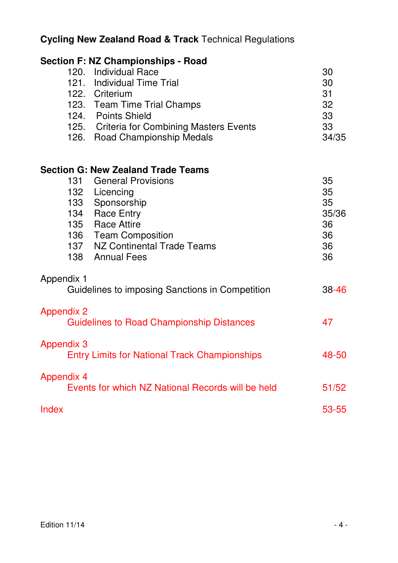|                   | <b>Section F: NZ Championships - Road</b>            |       |
|-------------------|------------------------------------------------------|-------|
|                   | 120. Individual Race                                 | 30    |
|                   | 121. Individual Time Trial                           | 30    |
|                   | 122. Criterium                                       | 31    |
|                   | 123. Team Time Trial Champs                          | 32    |
|                   | 124. Points Shield                                   | 33    |
|                   | 125. Criteria for Combining Masters Events           | 33    |
|                   | 126. Road Championship Medals                        | 34/35 |
|                   | <b>Section G: New Zealand Trade Teams</b>            |       |
|                   | 131 General Provisions                               | 35    |
|                   | 132 Licencing                                        | 35    |
|                   | 133 Sponsorship                                      | 35    |
|                   | 134 Race Entry                                       | 35/36 |
|                   | 135 Race Attire                                      | 36    |
|                   | 136 Team Composition                                 | 36    |
|                   | 137 NZ Continental Trade Teams                       | 36    |
|                   | 138 Annual Fees                                      | 36    |
| Appendix 1        |                                                      |       |
|                   | Guidelines to imposing Sanctions in Competition      | 38-46 |
| <b>Appendix 2</b> |                                                      |       |
|                   | <b>Guidelines to Road Championship Distances</b>     | 47    |
| <b>Appendix 3</b> |                                                      |       |
|                   | <b>Entry Limits for National Track Championships</b> | 48-50 |
| <b>Appendix 4</b> | Events for which NZ National Records will be held    | 51/52 |
|                   |                                                      |       |
| Index             |                                                      | 53-55 |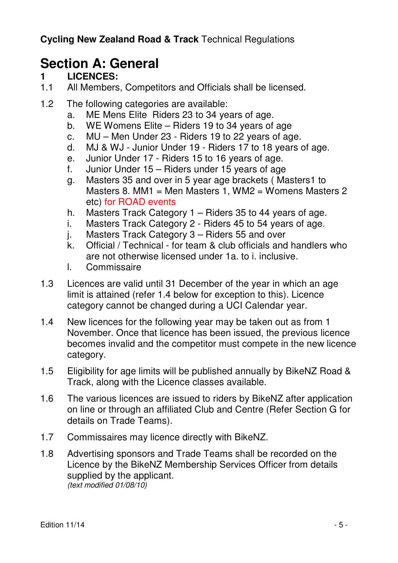# **Section A: General**

#### **1 LICENCES:**

- 1.1 All Members, Competitors and Officials shall be licensed.
- 1.2 The following categories are available:
	- a. ME Mens Elite Riders 23 to 34 years of age.
	- b. WE Womens Elite Riders 19 to 34 years of age
	- c. MU Men Under 23 Riders 19 to 22 years of age.
	- d. MJ & WJ Junior Under 19 Riders 17 to 18 years of age.
	- e. Junior Under 17 Riders 15 to 16 years of age.
	- f. Junior Under 15 Riders under 15 years of age
	- g. Masters 35 and over in 5 year age brackets ( Masters1 to Masters 8. MM1 = Men Masters 1, WM2 = Womens Masters 2 etc) for ROAD events
	- h. Masters Track Category 1 Riders 35 to 44 years of age.
	- i. Masters Track Category 2 Riders 45 to 54 years of age.
	- j. Masters Track Category 3 Riders 55 and over
	- k. Official / Technical for team & club officials and handlers who are not otherwise licensed under 1a. to i. inclusive.
	- l. Commissaire
- 1.3 Licences are valid until 31 December of the year in which an age limit is attained (refer 1.4 below for exception to this). Licence category cannot be changed during a UCI Calendar year.
- 1.4 New licences for the following year may be taken out as from 1 November. Once that licence has been issued, the previous licence becomes invalid and the competitor must compete in the new licence category.
- 1.5 Eligibility for age limits will be published annually by BikeNZ Road & Track, along with the Licence classes available.
- 1.6 The various licences are issued to riders by BikeNZ after application on line or through an affiliated Club and Centre (Refer Section G for details on Trade Teams).
- 1.7 Commissaires may licence directly with BikeNZ.
- 1.8 Advertising sponsors and Trade Teams shall be recorded on the Licence by the BikeNZ Membership Services Officer from details supplied by the applicant. (text modified 01/08/10)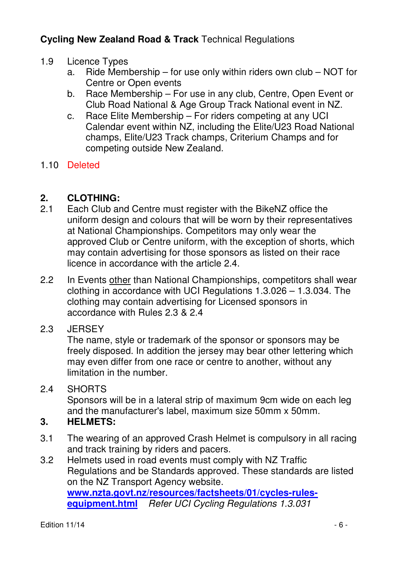- 1.9 Licence Types
	- a. Ride Membership for use only within riders own club NOT for Centre or Open events
	- b. Race Membership For use in any club, Centre, Open Event or Club Road National & Age Group Track National event in NZ.
	- c. Race Elite Membership For riders competing at any UCI Calendar event within NZ, including the Elite/U23 Road National champs, Elite/U23 Track champs, Criterium Champs and for competing outside New Zealand.

#### 1.10 Deleted

#### **2. CLOTHING:**

- 2.1 Each Club and Centre must register with the BikeNZ office the uniform design and colours that will be worn by their representatives at National Championships. Competitors may only wear the approved Club or Centre uniform, with the exception of shorts, which may contain advertising for those sponsors as listed on their race licence in accordance with the article 2.4.
- 2.2 In Events other than National Championships, competitors shall wear clothing in accordance with UCI Regulations 1.3.026 – 1.3.034. The clothing may contain advertising for Licensed sponsors in accordance with Rules 2.3 & 2.4

#### 2.3 JERSEY

 The name, style or trademark of the sponsor or sponsors may be freely disposed. In addition the jersey may bear other lettering which may even differ from one race or centre to another, without any limitation in the number.

#### 2.4 SHORTS

 Sponsors will be in a lateral strip of maximum 9cm wide on each leg and the manufacturer's label, maximum size 50mm x 50mm.

#### **3. HELMETS:**

- 3.1 The wearing of an approved Crash Helmet is compulsory in all racing and track training by riders and pacers.
- 3.2 Helmets used in road events must comply with NZ Traffic Regulations and be Standards approved. These standards are listed on the NZ Transport Agency website. **www.nzta.govt.nz/resources/factsheets/01/cycles-rulesequipment.html** Refer UCI Cycling Regulations 1.3.031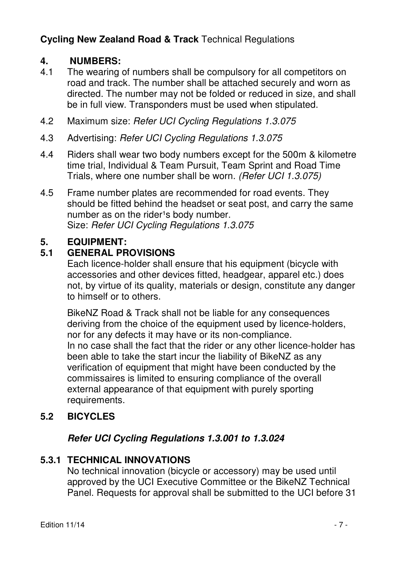#### **4. NUMBERS:**

- 4.1 The wearing of numbers shall be compulsory for all competitors on road and track. The number shall be attached securely and worn as directed. The number may not be folded or reduced in size, and shall be in full view. Transponders must be used when stipulated.
- 4.2 Maximum size: Refer UCI Cycling Regulations 1.3.075
- 4.3 Advertising: Refer UCI Cycling Regulations 1.3.075
- 4.4 Riders shall wear two body numbers except for the 500m & kilometre time trial, Individual & Team Pursuit, Team Sprint and Road Time Trials, where one number shall be worn. (Refer UCI 1.3.075)
- 4.5 Frame number plates are recommended for road events. They should be fitted behind the headset or seat post, and carry the same number as on the rider<sup>1</sup>s body number. Size: Refer UCI Cycling Regulations 1.3.075

#### **5. EQUIPMENT:**

#### **5.1 GENERAL PROVISIONS**

 Each licence-holder shall ensure that his equipment (bicycle with accessories and other devices fitted, headgear, apparel etc.) does not, by virtue of its quality, materials or design, constitute any danger to himself or to others.

 BikeNZ Road & Track shall not be liable for any consequences deriving from the choice of the equipment used by licence-holders, nor for any defects it may have or its non-compliance. In no case shall the fact that the rider or any other licence-holder has been able to take the start incur the liability of BikeNZ as any verification of equipment that might have been conducted by the commissaires is limited to ensuring compliance of the overall external appearance of that equipment with purely sporting requirements.

#### **5.2 BICYCLES**

#### **Refer UCI Cycling Regulations 1.3.001 to 1.3.024**

#### **5.3.1 TECHNICAL INNOVATIONS**

 No technical innovation (bicycle or accessory) may be used until approved by the UCI Executive Committee or the BikeNZ Technical Panel. Requests for approval shall be submitted to the UCI before 31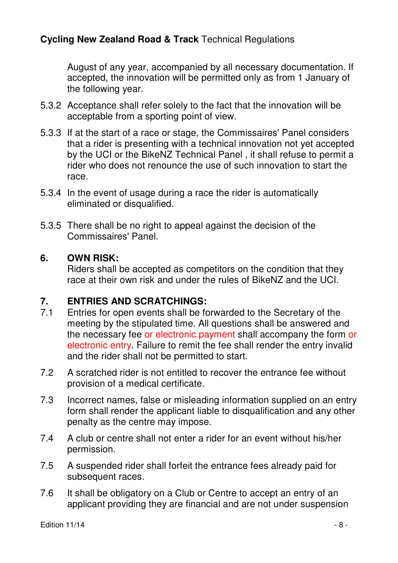August of any year, accompanied by all necessary documentation. If accepted, the innovation will be permitted only as from 1 January of the following year.

- 5.3.2 Acceptance shall refer solely to the fact that the innovation will be acceptable from a sporting point of view.
- 5.3.3 If at the start of a race or stage, the Commissaires' Panel considers that a rider is presenting with a technical innovation not yet accepted by the UCI or the BikeNZ Technical Panel , it shall refuse to permit a rider who does not renounce the use of such innovation to start the race.
- 5.3.4 In the event of usage during a race the rider is automatically eliminated or disqualified.
- 5.3.5 There shall be no right to appeal against the decision of the Commissaires' Panel.

#### **6. OWN RISK:**

 Riders shall be accepted as competitors on the condition that they race at their own risk and under the rules of BikeNZ and the UCI.

#### **7. ENTRIES AND SCRATCHINGS:**

- 7.1 Entries for open events shall be forwarded to the Secretary of the meeting by the stipulated time. All questions shall be answered and the necessary fee or electronic payment shall accompany the form or electronic entry. Failure to remit the fee shall render the entry invalid and the rider shall not be permitted to start.
- 7.2 A scratched rider is not entitled to recover the entrance fee without provision of a medical certificate.
- 7.3 Incorrect names, false or misleading information supplied on an entry form shall render the applicant liable to disqualification and any other penalty as the centre may impose.
- 7.4 A club or centre shall not enter a rider for an event without his/her permission.
- 7.5 A suspended rider shall forfeit the entrance fees already paid for subsequent races.
- 7.6 It shall be obligatory on a Club or Centre to accept an entry of an applicant providing they are financial and are not under suspension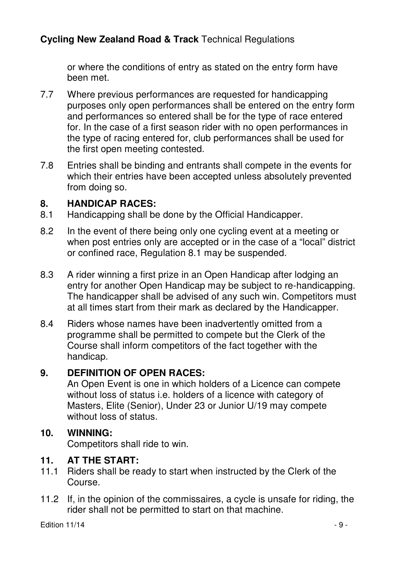or where the conditions of entry as stated on the entry form have been met.

- 7.7 Where previous performances are requested for handicapping purposes only open performances shall be entered on the entry form and performances so entered shall be for the type of race entered for. In the case of a first season rider with no open performances in the type of racing entered for, club performances shall be used for the first open meeting contested.
- 7.8 Entries shall be binding and entrants shall compete in the events for which their entries have been accepted unless absolutely prevented from doing so.

#### **8. HANDICAP RACES:**

- 8.1 Handicapping shall be done by the Official Handicapper.
- 8.2 In the event of there being only one cycling event at a meeting or when post entries only are accepted or in the case of a "local" district or confined race, Regulation 8.1 may be suspended.
- 8.3 A rider winning a first prize in an Open Handicap after lodging an entry for another Open Handicap may be subject to re-handicapping. The handicapper shall be advised of any such win. Competitors must at all times start from their mark as declared by the Handicapper.
- 8.4 Riders whose names have been inadvertently omitted from a programme shall be permitted to compete but the Clerk of the Course shall inform competitors of the fact together with the handicap.

#### **9. DEFINITION OF OPEN RACES:**

 An Open Event is one in which holders of a Licence can compete without loss of status i.e. holders of a licence with category of Masters, Elite (Senior), Under 23 or Junior U/19 may compete without loss of status.

#### **10. WINNING:**

Competitors shall ride to win.

#### **11. AT THE START:**

- 11.1 Riders shall be ready to start when instructed by the Clerk of the Course.
- 11.2 If, in the opinion of the commissaires, a cycle is unsafe for riding, the rider shall not be permitted to start on that machine.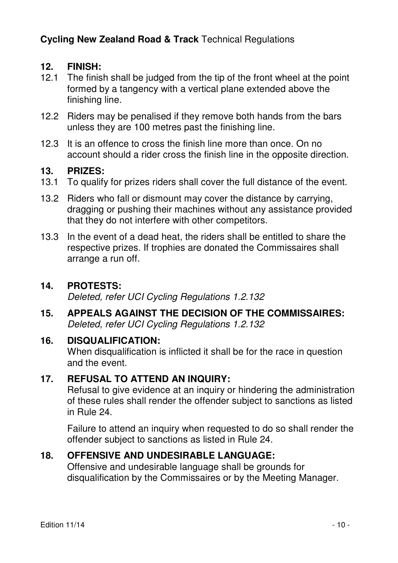#### **12. FINISH:**

- 12.1 The finish shall be judged from the tip of the front wheel at the point formed by a tangency with a vertical plane extended above the finishing line.
- 12.2 Riders may be penalised if they remove both hands from the bars unless they are 100 metres past the finishing line.
- 12.3 It is an offence to cross the finish line more than once. On no account should a rider cross the finish line in the opposite direction.

#### **13. PRIZES:**

- 13.1 To qualify for prizes riders shall cover the full distance of the event.
- 13.2 Riders who fall or dismount may cover the distance by carrying, dragging or pushing their machines without any assistance provided that they do not interfere with other competitors.
- 13.3 In the event of a dead heat, the riders shall be entitled to share the respective prizes. If trophies are donated the Commissaires shall arrange a run off.

#### **14. PROTESTS:**

Deleted, refer UCI Cycling Regulations 1.2.132

**15. APPEALS AGAINST THE DECISION OF THE COMMISSAIRES:**  Deleted, refer UCI Cycling Regulations 1.2.132

#### **16. DISQUALIFICATION:**

 When disqualification is inflicted it shall be for the race in question and the event.

#### **17. REFUSAL TO ATTEND AN INQUIRY:**

 Refusal to give evidence at an inquiry or hindering the administration of these rules shall render the offender subject to sanctions as listed in Rule 24.

 Failure to attend an inquiry when requested to do so shall render the offender subject to sanctions as listed in Rule 24.

#### **18. OFFENSIVE AND UNDESIRABLE LANGUAGE:**

 Offensive and undesirable language shall be grounds for disqualification by the Commissaires or by the Meeting Manager.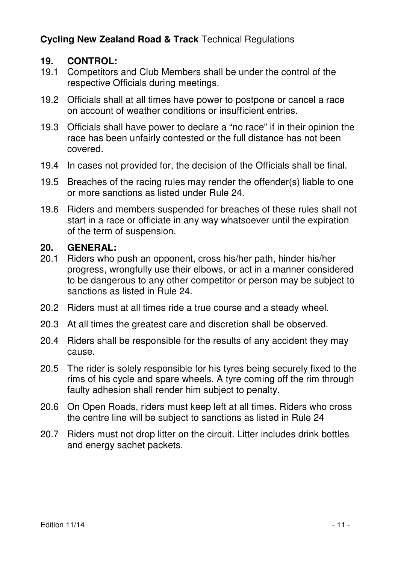#### **19. CONTROL:**

- 19.1 Competitors and Club Members shall be under the control of the respective Officials during meetings.
- 19.2 Officials shall at all times have power to postpone or cancel a race on account of weather conditions or insufficient entries.
- 19.3 Officials shall have power to declare a "no race" if in their opinion the race has been unfairly contested or the full distance has not been covered.
- 19.4 In cases not provided for, the decision of the Officials shall be final.
- 19.5 Breaches of the racing rules may render the offender(s) liable to one or more sanctions as listed under Rule 24.
- 19.6 Riders and members suspended for breaches of these rules shall not start in a race or officiate in any way whatsoever until the expiration of the term of suspension.

#### **20. GENERAL:**

- 20.1 Riders who push an opponent, cross his/her path, hinder his/her progress, wrongfully use their elbows, or act in a manner considered to be dangerous to any other competitor or person may be subject to sanctions as listed in Rule 24.
- 20.2 Riders must at all times ride a true course and a steady wheel.
- 20.3 At all times the greatest care and discretion shall be observed.
- 20.4 Riders shall be responsible for the results of any accident they may cause.
- 20.5 The rider is solely responsible for his tyres being securely fixed to the rims of his cycle and spare wheels. A tyre coming off the rim through faulty adhesion shall render him subject to penalty.
- 20.6 On Open Roads, riders must keep left at all times. Riders who cross the centre line will be subject to sanctions as listed in Rule 24
- 20.7 Riders must not drop litter on the circuit. Litter includes drink bottles and energy sachet packets.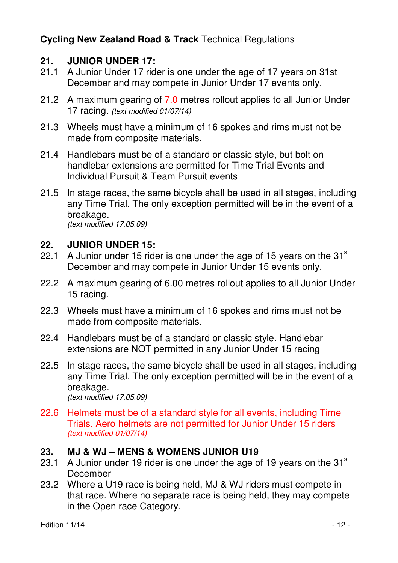#### **21. JUNIOR UNDER 17:**

- 21.1 A Junior Under 17 rider is one under the age of 17 years on 31st December and may compete in Junior Under 17 events only.
- 21.2 A maximum gearing of 7.0 metres rollout applies to all Junior Under 17 racing. (text modified 01/07/14)
- 21.3 Wheels must have a minimum of 16 spokes and rims must not be made from composite materials.
- 21.4 Handlebars must be of a standard or classic style, but bolt on handlebar extensions are permitted for Time Trial Events and Individual Pursuit & Team Pursuit events
- 21.5 In stage races, the same bicycle shall be used in all stages, including any Time Trial. The only exception permitted will be in the event of a breakage.

(text modified 17.05.09)

#### **22. JUNIOR UNDER 15:**

- 22.1 A Junior under 15 rider is one under the age of 15 years on the 31 $^{\rm st}$ December and may compete in Junior Under 15 events only.
- 22.2 A maximum gearing of 6.00 metres rollout applies to all Junior Under 15 racing.
- 22.3 Wheels must have a minimum of 16 spokes and rims must not be made from composite materials.
- 22.4 Handlebars must be of a standard or classic style. Handlebar extensions are NOT permitted in any Junior Under 15 racing
- 22.5 In stage races, the same bicycle shall be used in all stages, including any Time Trial. The only exception permitted will be in the event of a breakage. (text modified 17.05.09)
- 22.6 Helmets must be of a standard style for all events, including Time Trials. Aero helmets are not permitted for Junior Under 15 riders (text modified 01/07/14)

#### **23. MJ & WJ – MENS & WOMENS JUNIOR U19**

- 23.1 A Junior under 19 rider is one under the age of 19 years on the  $31<sup>st</sup>$ December
- 23.2 Where a U19 race is being held, MJ & WJ riders must compete in that race. Where no separate race is being held, they may compete in the Open race Category.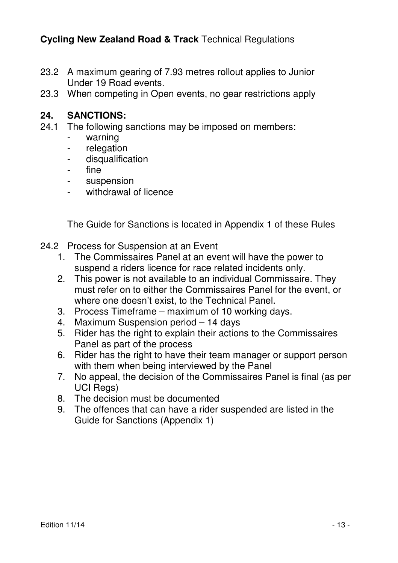- 23.2 A maximum gearing of 7.93 metres rollout applies to Junior Under 19 Road events.
- 23.3 When competing in Open events, no gear restrictions apply

#### **24. SANCTIONS:**

- 24.1 The following sanctions may be imposed on members:
	- warning
	- relegation
	- disqualification
	- fine
	- suspension
	- withdrawal of licence

The Guide for Sanctions is located in Appendix 1 of these Rules

- 24.2 Process for Suspension at an Event
	- 1. The Commissaires Panel at an event will have the power to suspend a riders licence for race related incidents only.
	- 2. This power is not available to an individual Commissaire. They must refer on to either the Commissaires Panel for the event, or where one doesn't exist, to the Technical Panel.
	- 3. Process Timeframe maximum of 10 working days.
	- 4. Maximum Suspension period 14 days
	- 5. Rider has the right to explain their actions to the Commissaires Panel as part of the process
	- 6. Rider has the right to have their team manager or support person with them when being interviewed by the Panel
	- 7. No appeal, the decision of the Commissaires Panel is final (as per UCI Regs)
	- 8. The decision must be documented
	- 9. The offences that can have a rider suspended are listed in the Guide for Sanctions (Appendix 1)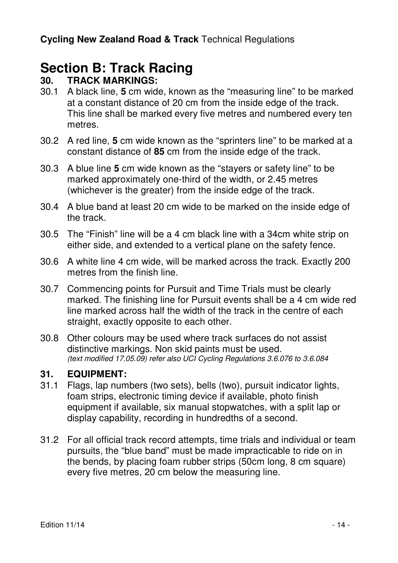# **Section B: Track Racing**<br>30 TRACK MARKINGS:

#### **30. TRACK MARKINGS:**

- 30.1 A black line, **5** cm wide, known as the "measuring line" to be marked at a constant distance of 20 cm from the inside edge of the track. This line shall be marked every five metres and numbered every ten metres.
- 30.2 A red line, **5** cm wide known as the "sprinters line" to be marked at a constant distance of **85** cm from the inside edge of the track.
- 30.3 A blue line **5** cm wide known as the "stayers or safety line" to be marked approximately one-third of the width, or 2.45 metres (whichever is the greater) from the inside edge of the track.
- 30.4 A blue band at least 20 cm wide to be marked on the inside edge of the track.
- 30.5 The "Finish" line will be a 4 cm black line with a 34cm white strip on either side, and extended to a vertical plane on the safety fence.
- 30.6 A white line 4 cm wide, will be marked across the track. Exactly 200 metres from the finish line.
- 30.7 Commencing points for Pursuit and Time Trials must be clearly marked. The finishing line for Pursuit events shall be a 4 cm wide red line marked across half the width of the track in the centre of each straight, exactly opposite to each other.
- 30.8 Other colours may be used where track surfaces do not assist distinctive markings. Non skid paints must be used. (text modified 17.05.09) refer also UCI Cycling Regulations 3.6.076 to 3.6.084

#### **31. EQUIPMENT:**

- 31.1 Flags, lap numbers (two sets), bells (two), pursuit indicator lights, foam strips, electronic timing device if available, photo finish equipment if available, six manual stopwatches, with a split lap or display capability, recording in hundredths of a second.
- 31.2 For all official track record attempts, time trials and individual or team pursuits, the "blue band" must be made impracticable to ride on in the bends, by placing foam rubber strips (50cm long, 8 cm square) every five metres, 20 cm below the measuring line.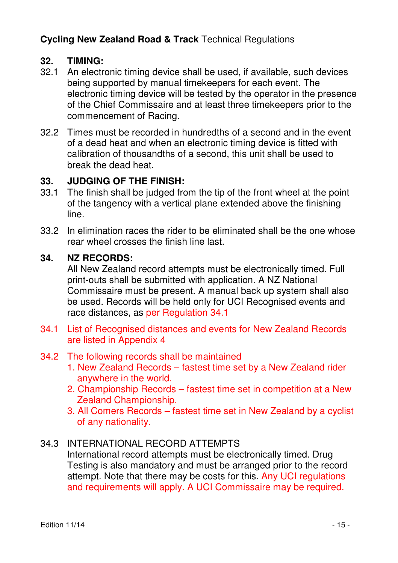#### **32. TIMING:**

- 32.1 An electronic timing device shall be used, if available, such devices being supported by manual timekeepers for each event. The electronic timing device will be tested by the operator in the presence of the Chief Commissaire and at least three timekeepers prior to the commencement of Racing.
- 32.2 Times must be recorded in hundredths of a second and in the event of a dead heat and when an electronic timing device is fitted with calibration of thousandths of a second, this unit shall be used to break the dead heat.

#### **33. JUDGING OF THE FINISH:**

- 33.1 The finish shall be judged from the tip of the front wheel at the point of the tangency with a vertical plane extended above the finishing line.
- 33.2 In elimination races the rider to be eliminated shall be the one whose rear wheel crosses the finish line last.

#### **34. NZ RECORDS:**

 All New Zealand record attempts must be electronically timed. Full print-outs shall be submitted with application. A NZ National Commissaire must be present. A manual back up system shall also be used. Records will be held only for UCI Recognised events and race distances, as per Regulation 34.1

34.1 List of Recognised distances and events for New Zealand Records are listed in Appendix 4

#### 34.2 The following records shall be maintained

- 1. New Zealand Records fastest time set by a New Zealand rider anywhere in the world.
- 2. Championship Records fastest time set in competition at a New Zealand Championship.
- 3. All Comers Records fastest time set in New Zealand by a cyclist of any nationality.

#### 34.3 INTERNATIONAL RECORD ATTEMPTS

 International record attempts must be electronically timed. Drug Testing is also mandatory and must be arranged prior to the record attempt. Note that there may be costs for this. Any UCI regulations and requirements will apply. A UCI Commissaire may be required.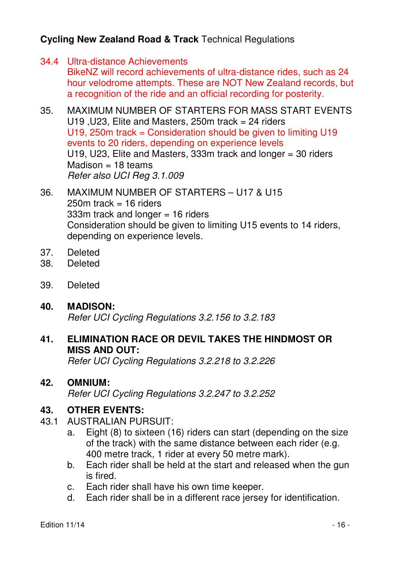- 34.4 Ultra-distance Achievements BikeNZ will record achievements of ultra-distance rides, such as 24 hour velodrome attempts. These are NOT New Zealand records, but a recognition of the ride and an official recording for posterity.
- 35. MAXIMUM NUMBER OF STARTERS FOR MASS START EVENTS U19 , U23, Elite and Masters,  $250m$  track = 24 riders U19, 250m track = Consideration should be given to limiting U19 events to 20 riders, depending on experience levels U19, U23, Elite and Masters, 333m track and longer = 30 riders  $Madison = 18$  teams Refer also UCI Reg 3.1.009
- 36. MAXIMUM NUMBER OF STARTERS U17 & U15  $250m$  track = 16 riders 333m track and longer = 16 riders Consideration should be given to limiting U15 events to 14 riders, depending on experience levels.
- 37. Deleted
- 38. Deleted
- 39. Deleted

#### **40. MADISON:**

Refer UCI Cycling Regulations 3.2.156 to 3.2.183

#### **41. ELIMINATION RACE OR DEVIL TAKES THE HINDMOST OR MISS AND OUT:**

Refer UCI Cycling Regulations 3.2.218 to 3.2.226

#### **42. OMNIUM:**

Refer UCI Cycling Regulations 3.2.247 to 3.2.252

#### **43. OTHER EVENTS:**

- 43.1 AUSTRALIAN PURSUIT:
	- a. Eight (8) to sixteen (16) riders can start (depending on the size of the track) with the same distance between each rider (e.g. 400 metre track, 1 rider at every 50 metre mark).
	- b. Each rider shall be held at the start and released when the gun is fired.
	- c. Each rider shall have his own time keeper.
	- d. Each rider shall be in a different race jersey for identification.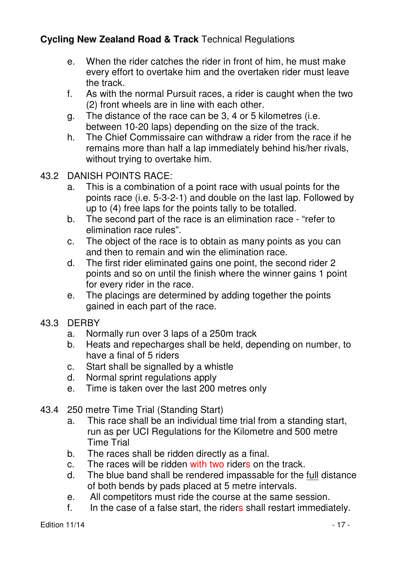- e. When the rider catches the rider in front of him, he must make every effort to overtake him and the overtaken rider must leave the track.
- f. As with the normal Pursuit races, a rider is caught when the two (2) front wheels are in line with each other.
- g. The distance of the race can be 3, 4 or 5 kilometres (i.e. between 10-20 laps) depending on the size of the track.
- h. The Chief Commissaire can withdraw a rider from the race if he remains more than half a lap immediately behind his/her rivals, without trying to overtake him.
- 43.2 DANISH POINTS RACE:
	- a. This is a combination of a point race with usual points for the points race (i.e. 5-3-2-1) and double on the last lap. Followed by up to (4) free laps for the points tally to be totalled.
	- b. The second part of the race is an elimination race "refer to elimination race rules".
	- c. The object of the race is to obtain as many points as you can and then to remain and win the elimination race.
	- d. The first rider eliminated gains one point, the second rider 2 points and so on until the finish where the winner gains 1 point for every rider in the race.
	- e. The placings are determined by adding together the points gained in each part of the race.
- 43.3 DERBY
	- a. Normally run over 3 laps of a 250m track
	- b. Heats and repecharges shall be held, depending on number, to have a final of 5 riders
	- c. Start shall be signalled by a whistle
	- d. Normal sprint regulations apply
	- e. Time is taken over the last 200 metres only
- 43.4 250 metre Time Trial (Standing Start)
	- a. This race shall be an individual time trial from a standing start, run as per UCI Regulations for the Kilometre and 500 metre Time Trial
	- b. The races shall be ridden directly as a final.
	- c. The races will be ridden with two riders on the track.
	- d. The blue band shall be rendered impassable for the full distance of both bends by pads placed at 5 metre intervals.
	- e. All competitors must ride the course at the same session.
	- f. In the case of a false start, the riders shall restart immediately.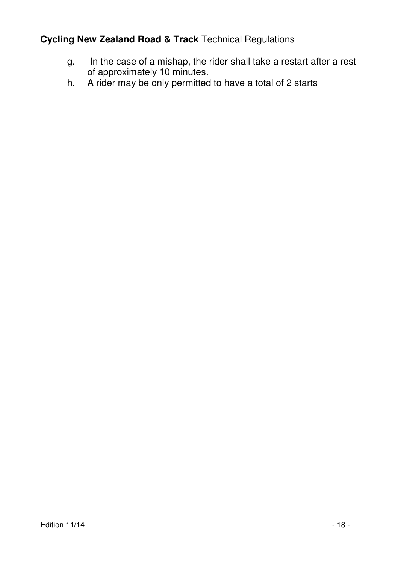- g. In the case of a mishap, the rider shall take a restart after a rest of approximately 10 minutes.
- h. A rider may be only permitted to have a total of 2 starts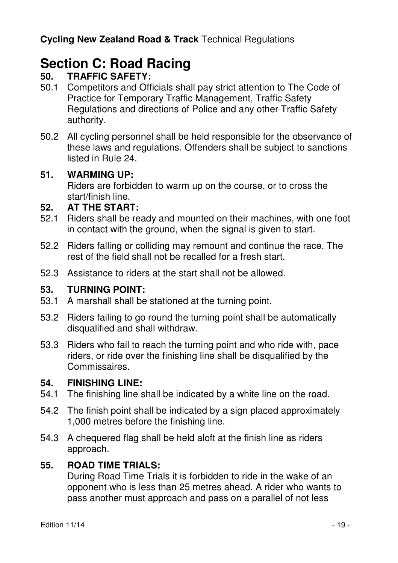# **Section C: Road Racing**<br>50 **TRAFFIC SAFFTY**

### **50. TRAFFIC SAFETY:**

- 50.1 Competitors and Officials shall pay strict attention to The Code of Practice for Temporary Traffic Management, Traffic Safety Regulations and directions of Police and any other Traffic Safety authority.
- 50.2 All cycling personnel shall be held responsible for the observance of these laws and regulations. Offenders shall be subject to sanctions listed in Rule 24.

#### **51. WARMING UP:**

 Riders are forbidden to warm up on the course, or to cross the start/finish line.

#### **52. AT THE START:**

- 52.1 Riders shall be ready and mounted on their machines, with one foot in contact with the ground, when the signal is given to start.
- 52.2 Riders falling or colliding may remount and continue the race. The rest of the field shall not be recalled for a fresh start.
- 52.3 Assistance to riders at the start shall not be allowed.

#### **53. TURNING POINT:**

- 53.1 A marshall shall be stationed at the turning point.
- 53.2 Riders failing to go round the turning point shall be automatically disqualified and shall withdraw.
- 53.3 Riders who fail to reach the turning point and who ride with, pace riders, or ride over the finishing line shall be disqualified by the Commissaires.

#### **54. FINISHING LINE:**

- 54.1 The finishing line shall be indicated by a white line on the road.
- 54.2 The finish point shall be indicated by a sign placed approximately 1,000 metres before the finishing line.
- 54.3 A chequered flag shall be held aloft at the finish line as riders approach.

#### **55. ROAD TIME TRIALS:**

 During Road Time Trials it is forbidden to ride in the wake of an opponent who is less than 25 metres ahead. A rider who wants to pass another must approach and pass on a parallel of not less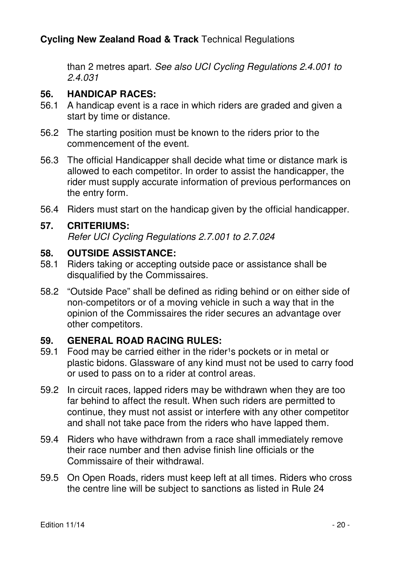than 2 metres apart. See also UCI Cycling Regulations 2.4.001 to 2.4.031

#### **56. HANDICAP RACES:**

- 56.1 A handicap event is a race in which riders are graded and given a start by time or distance.
- 56.2 The starting position must be known to the riders prior to the commencement of the event.
- 56.3 The official Handicapper shall decide what time or distance mark is allowed to each competitor. In order to assist the handicapper, the rider must supply accurate information of previous performances on the entry form.
- 56.4 Riders must start on the handicap given by the official handicapper.

#### **57. CRITERIUMS:**

Refer UCI Cycling Regulations 2.7.001 to 2.7.024

#### **58. OUTSIDE ASSISTANCE:**

- 58.1 Riders taking or accepting outside pace or assistance shall be disqualified by the Commissaires.
- 58.2 "Outside Pace" shall be defined as riding behind or on either side of non-competitors or of a moving vehicle in such a way that in the opinion of the Commissaires the rider secures an advantage over other competitors.

#### **59. GENERAL ROAD RACING RULES:**

- 59.1 Food may be carried either in the rider<sup>1</sup>s pockets or in metal or plastic bidons. Glassware of any kind must not be used to carry food or used to pass on to a rider at control areas.
- 59.2 In circuit races, lapped riders may be withdrawn when they are too far behind to affect the result. When such riders are permitted to continue, they must not assist or interfere with any other competitor and shall not take pace from the riders who have lapped them.
- 59.4 Riders who have withdrawn from a race shall immediately remove their race number and then advise finish line officials or the Commissaire of their withdrawal.
- 59.5 On Open Roads, riders must keep left at all times. Riders who cross the centre line will be subject to sanctions as listed in Rule 24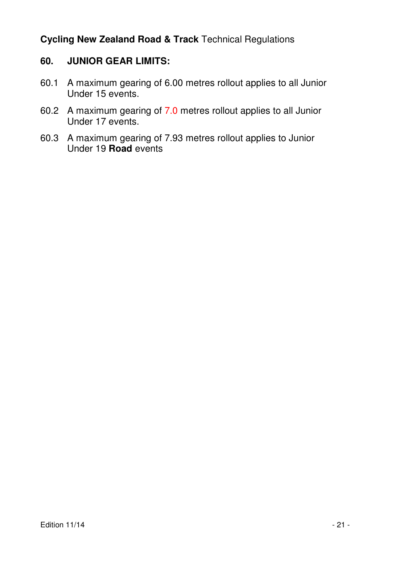#### **60. JUNIOR GEAR LIMITS:**

- 60.1 A maximum gearing of 6.00 metres rollout applies to all Junior Under 15 events.
- 60.2 A maximum gearing of 7.0 metres rollout applies to all Junior Under 17 events.
- 60.3 A maximum gearing of 7.93 metres rollout applies to Junior Under 19 **Road** events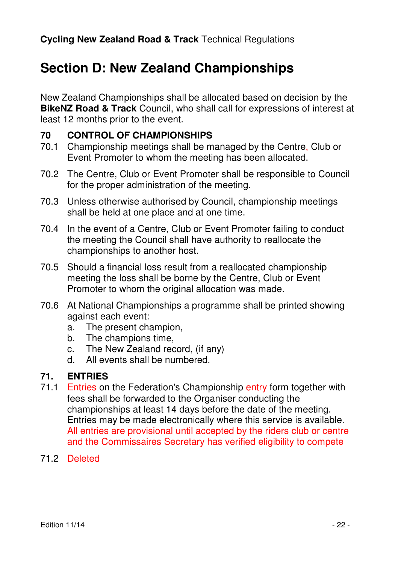# **Section D: New Zealand Championships**

New Zealand Championships shall be allocated based on decision by the **BikeNZ Road & Track** Council, who shall call for expressions of interest at least 12 months prior to the event.

#### **70 CONTROL OF CHAMPIONSHIPS**

- 70.1 Championship meetings shall be managed by the Centre, Club or Event Promoter to whom the meeting has been allocated.
- 70.2 The Centre, Club or Event Promoter shall be responsible to Council for the proper administration of the meeting.
- 70.3 Unless otherwise authorised by Council, championship meetings shall be held at one place and at one time.
- 70.4 In the event of a Centre, Club or Event Promoter failing to conduct the meeting the Council shall have authority to reallocate the championships to another host.
- 70.5 Should a financial loss result from a reallocated championship meeting the loss shall be borne by the Centre, Club or Event Promoter to whom the original allocation was made.
- 70.6 At National Championships a programme shall be printed showing against each event:
	- a. The present champion,
	- b. The champions time,
	- c. The New Zealand record, (if any)
	- d. All events shall be numbered.

#### **71. ENTRIES**

- 71.1 Entries on the Federation's Championship entry form together with fees shall be forwarded to the Organiser conducting the championships at least 14 days before the date of the meeting. Entries may be made electronically where this service is available. All entries are provisional until accepted by the riders club or centre and the Commissaires Secretary has verified eligibility to compete
- 71.2 Deleted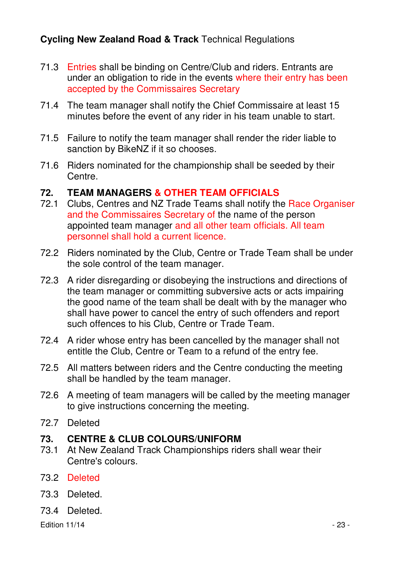- 71.3 Entries shall be binding on Centre/Club and riders. Entrants are under an obligation to ride in the events where their entry has been accepted by the Commissaires Secretary
- 71.4 The team manager shall notify the Chief Commissaire at least 15 minutes before the event of any rider in his team unable to start.
- 71.5 Failure to notify the team manager shall render the rider liable to sanction by BikeNZ if it so chooses.
- 71.6 Riders nominated for the championship shall be seeded by their Centre.

#### **72. TEAM MANAGERS & OTHER TEAM OFFICIALS**

- 72.1 Clubs, Centres and NZ Trade Teams shall notify the Race Organiser and the Commissaires Secretary of the name of the person appointed team manager and all other team officials. All team personnel shall hold a current licence.
- 72.2 Riders nominated by the Club, Centre or Trade Team shall be under the sole control of the team manager.
- 72.3 A rider disregarding or disobeying the instructions and directions of the team manager or committing subversive acts or acts impairing the good name of the team shall be dealt with by the manager who shall have power to cancel the entry of such offenders and report such offences to his Club, Centre or Trade Team.
- 72.4 A rider whose entry has been cancelled by the manager shall not entitle the Club, Centre or Team to a refund of the entry fee.
- 72.5 All matters between riders and the Centre conducting the meeting shall be handled by the team manager.
- 72.6 A meeting of team managers will be called by the meeting manager to give instructions concerning the meeting.
- 72.7 Deleted

# **73. CENTRE & CLUB COLOURS/UNIFORM**

- At New Zealand Track Championships riders shall wear their Centre's colours.
- 73.2 Deleted
- 73.3 Deleted.
- 73.4 Deleted.

Edition 11/14 - 23 -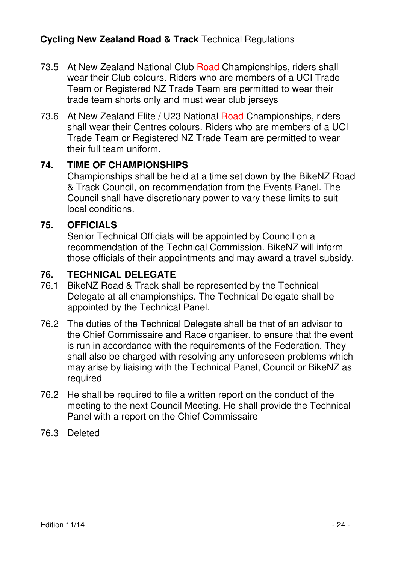- 73.5 At New Zealand National Club Road Championships, riders shall wear their Club colours. Riders who are members of a UCI Trade Team or Registered NZ Trade Team are permitted to wear their trade team shorts only and must wear club jerseys
- 73.6 At New Zealand Elite / U23 National Road Championships, riders shall wear their Centres colours. Riders who are members of a UCI Trade Team or Registered NZ Trade Team are permitted to wear their full team uniform.

#### **74. TIME OF CHAMPIONSHIPS**

 Championships shall be held at a time set down by the BikeNZ Road & Track Council, on recommendation from the Events Panel. The Council shall have discretionary power to vary these limits to suit local conditions.

#### **75. OFFICIALS**

 Senior Technical Officials will be appointed by Council on a recommendation of the Technical Commission. BikeNZ will inform those officials of their appointments and may award a travel subsidy.

#### **76. TECHNICAL DELEGATE**

- 76.1 BikeNZ Road & Track shall be represented by the Technical Delegate at all championships. The Technical Delegate shall be appointed by the Technical Panel.
- 76.2 The duties of the Technical Delegate shall be that of an advisor to the Chief Commissaire and Race organiser, to ensure that the event is run in accordance with the requirements of the Federation. They shall also be charged with resolving any unforeseen problems which may arise by liaising with the Technical Panel, Council or BikeNZ as required
- 76.2 He shall be required to file a written report on the conduct of the meeting to the next Council Meeting. He shall provide the Technical Panel with a report on the Chief Commissaire
- 76.3 Deleted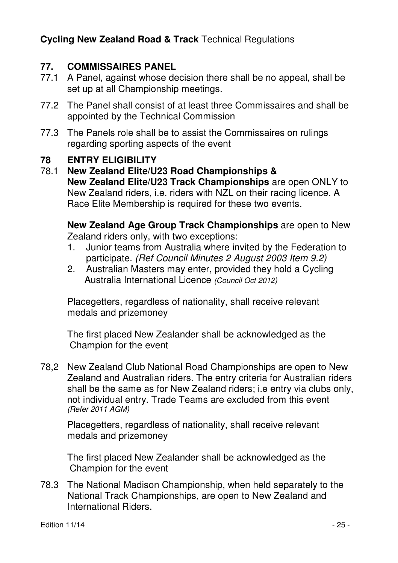#### **77. COMMISSAIRES PANEL**

- 77.1 A Panel, against whose decision there shall be no appeal, shall be set up at all Championship meetings.
- 77.2 The Panel shall consist of at least three Commissaires and shall be appointed by the Technical Commission
- 77.3 The Panels role shall be to assist the Commissaires on rulings regarding sporting aspects of the event

#### **78 ENTRY ELIGIBILITY**

78.1 **New Zealand Elite/U23 Road Championships & New Zealand Elite/U23 Track Championships** are open ONLY to New Zealand riders, i.e. riders with NZL on their racing licence. A Race Elite Membership is required for these two events.

**New Zealand Age Group Track Championships** are open to New Zealand riders only, with two exceptions:

- 1. Junior teams from Australia where invited by the Federation to participate. (Ref Council Minutes 2 August 2003 Item 9.2)
- 2. Australian Masters may enter, provided they hold a Cycling Australia International Licence (Council Oct 2012)

Placegetters, regardless of nationality, shall receive relevant medals and prizemoney

The first placed New Zealander shall be acknowledged as the Champion for the event

78,2 New Zealand Club National Road Championships are open to New Zealand and Australian riders. The entry criteria for Australian riders shall be the same as for New Zealand riders; i.e entry via clubs only, not individual entry. Trade Teams are excluded from this event (Refer 2011 AGM)

 Placegetters, regardless of nationality, shall receive relevant medals and prizemoney

The first placed New Zealander shall be acknowledged as the Champion for the event

78.3 The National Madison Championship, when held separately to the National Track Championships, are open to New Zealand and International Riders.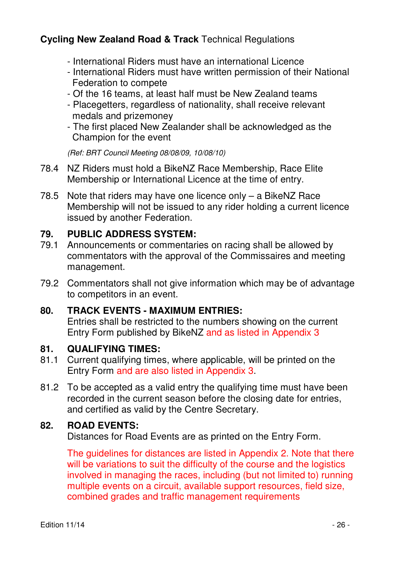- International Riders must have an international Licence
- International Riders must have written permission of their National Federation to compete
- Of the 16 teams, at least half must be New Zealand teams
- Placegetters, regardless of nationality, shall receive relevant medals and prizemoney
- The first placed New Zealander shall be acknowledged as the Champion for the event

(Ref: BRT Council Meeting 08/08/09, 10/08/10)

- 78.4 NZ Riders must hold a BikeNZ Race Membership, Race Elite Membership or International Licence at the time of entry.
- 78.5 Note that riders may have one licence only a BikeNZ Race Membership will not be issued to any rider holding a current licence issued by another Federation.

#### **79. PUBLIC ADDRESS SYSTEM:**

- 79.1 Announcements or commentaries on racing shall be allowed by commentators with the approval of the Commissaires and meeting management.
- 79.2 Commentators shall not give information which may be of advantage to competitors in an event.

#### **80. TRACK EVENTS - MAXIMUM ENTRIES:**

 Entries shall be restricted to the numbers showing on the current Entry Form published by BikeNZ and as listed in Appendix 3

#### **81. QUALIFYING TIMES:**

- 81.1 Current qualifying times, where applicable, will be printed on the Entry Form and are also listed in Appendix 3.
- 81.2 To be accepted as a valid entry the qualifying time must have been recorded in the current season before the closing date for entries, and certified as valid by the Centre Secretary.

#### **82. ROAD EVENTS:**

Distances for Road Events are as printed on the Entry Form.

The guidelines for distances are listed in Appendix 2. Note that there will be variations to suit the difficulty of the course and the logistics involved in managing the races, including (but not limited to) running multiple events on a circuit, available support resources, field size, combined grades and traffic management requirements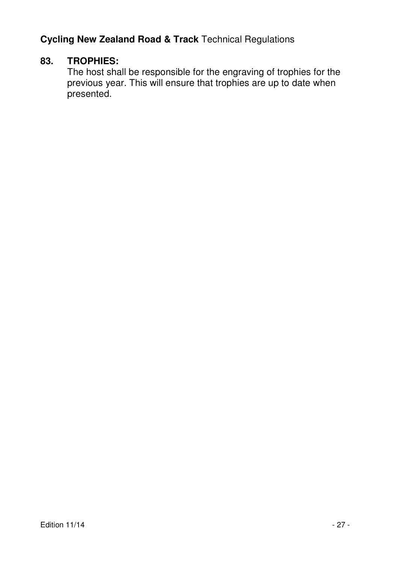#### **83. TROPHIES:**

 The host shall be responsible for the engraving of trophies for the previous year. This will ensure that trophies are up to date when presented.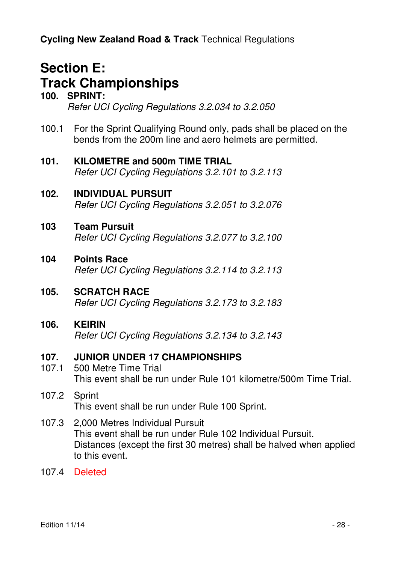# **Section E: Track Championships**

#### **100. SPRINT:**  Refer UCI Cycling Regulations 3.2.034 to 3.2.050

- 100.1 For the Sprint Qualifying Round only, pads shall be placed on the bends from the 200m line and aero helmets are permitted.
- **101. KILOMETRE and 500m TIME TRIAL**  Refer UCI Cycling Regulations 3.2.101 to 3.2.113
- **102. INDIVIDUAL PURSUIT**  Refer UCI Cycling Regulations 3.2.051 to 3.2.076
- **103 Team Pursuit**  Refer UCI Cycling Regulations 3.2.077 to 3.2.100
- **104 Points Race**  Refer UCI Cycling Regulations 3.2.114 to 3.2.113
- **105. SCRATCH RACE**  Refer UCI Cycling Regulations 3.2.173 to 3.2.183

#### **106. KEIRIN**  Refer UCI Cycling Regulations 3.2.134 to 3.2.143

#### **107. JUNIOR UNDER 17 CHAMPIONSHIPS**

- 107.1 500 Metre Time Trial This event shall be run under Rule 101 kilometre/500m Time Trial.
- 107.2 Sprint This event shall be run under Rule 100 Sprint.
- 107.3 2,000 Metres Individual Pursuit This event shall be run under Rule 102 Individual Pursuit. Distances (except the first 30 metres) shall be halved when applied to this event.
- 107.4 Deleted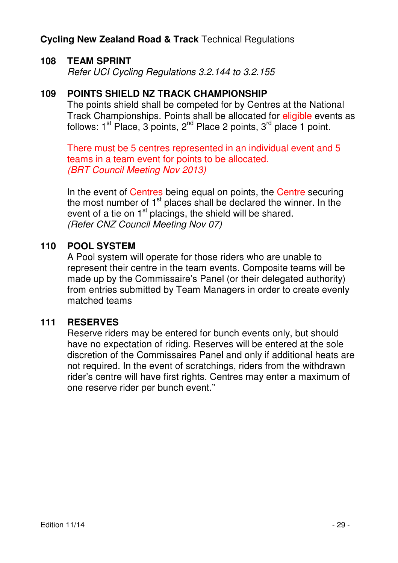#### **108 TEAM SPRINT**

Refer UCI Cycling Regulations 3.2.144 to 3.2.155

#### **109 POINTS SHIELD NZ TRACK CHAMPIONSHIP**

The points shield shall be competed for by Centres at the National Track Championships. Points shall be allocated for eligible events as follows:  $1<sup>st</sup>$  Place, 3 points,  $2<sup>nd</sup>$  Place 2 points,  $3<sup>rd</sup>$  place 1 point.

There must be 5 centres represented in an individual event and 5 teams in a team event for points to be allocated. (BRT Council Meeting Nov 2013)

In the event of Centres being equal on points, the Centre securing the most number of  $1<sup>st</sup>$  places shall be declared the winner. In the event of a tie on  $1<sup>st</sup>$  placings, the shield will be shared. (Refer CNZ Council Meeting Nov 07)

#### **110 POOL SYSTEM**

A Pool system will operate for those riders who are unable to represent their centre in the team events. Composite teams will be made up by the Commissaire's Panel (or their delegated authority) from entries submitted by Team Managers in order to create evenly matched teams

#### **111 RESERVES**

Reserve riders may be entered for bunch events only, but should have no expectation of riding. Reserves will be entered at the sole discretion of the Commissaires Panel and only if additional heats are not required. In the event of scratchings, riders from the withdrawn rider's centre will have first rights. Centres may enter a maximum of one reserve rider per bunch event."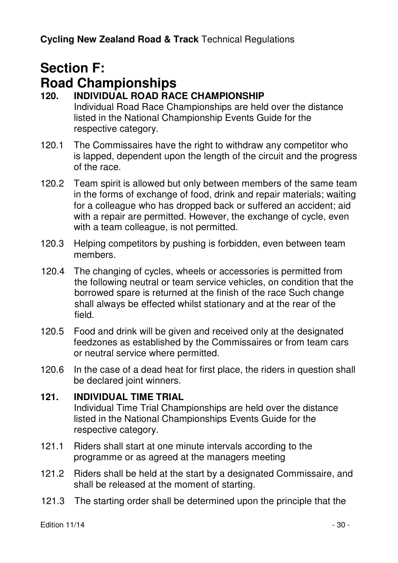# **Section F: Road Championships**

### **120. INDIVIDUAL ROAD RACE CHAMPIONSHIP**

Individual Road Race Championships are held over the distance listed in the National Championship Events Guide for the respective category.

- 120.1 The Commissaires have the right to withdraw any competitor who is lapped, dependent upon the length of the circuit and the progress of the race.
- 120.2 Team spirit is allowed but only between members of the same team in the forms of exchange of food, drink and repair materials; waiting for a colleague who has dropped back or suffered an accident; aid with a repair are permitted. However, the exchange of cycle, even with a team colleague, is not permitted.
- 120.3 Helping competitors by pushing is forbidden, even between team members.
- 120.4 The changing of cycles, wheels or accessories is permitted from the following neutral or team service vehicles, on condition that the borrowed spare is returned at the finish of the race Such change shall always be effected whilst stationary and at the rear of the field.
- 120.5 Food and drink will be given and received only at the designated feedzones as established by the Commissaires or from team cars or neutral service where permitted.
- 120.6 In the case of a dead heat for first place, the riders in question shall be declared joint winners.

#### **121. INDIVIDUAL TIME TRIAL**

Individual Time Trial Championships are held over the distance listed in the National Championships Events Guide for the respective category.

- 121.1 Riders shall start at one minute intervals according to the programme or as agreed at the managers meeting
- 121.2 Riders shall be held at the start by a designated Commissaire, and shall be released at the moment of starting.
- 121.3 The starting order shall be determined upon the principle that the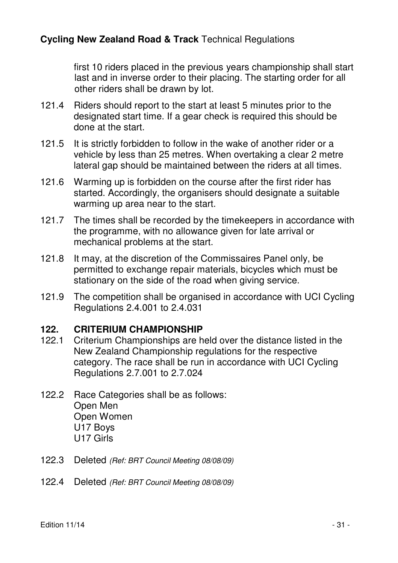first 10 riders placed in the previous years championship shall start last and in inverse order to their placing. The starting order for all other riders shall be drawn by lot.

- 121.4 Riders should report to the start at least 5 minutes prior to the designated start time. If a gear check is required this should be done at the start.
- 121.5 It is strictly forbidden to follow in the wake of another rider or a vehicle by less than 25 metres. When overtaking a clear 2 metre lateral gap should be maintained between the riders at all times.
- 121.6 Warming up is forbidden on the course after the first rider has started. Accordingly, the organisers should designate a suitable warming up area near to the start.
- 121.7 The times shall be recorded by the timekeepers in accordance with the programme, with no allowance given for late arrival or mechanical problems at the start.
- 121.8 It may, at the discretion of the Commissaires Panel only, be permitted to exchange repair materials, bicycles which must be stationary on the side of the road when giving service.
- 121.9 The competition shall be organised in accordance with UCI Cycling Regulations 2.4.001 to 2.4.031

#### **122. CRITERIUM CHAMPIONSHIP**

- 122.1 Criterium Championships are held over the distance listed in the New Zealand Championship regulations for the respective category. The race shall be run in accordance with UCI Cycling Regulations 2.7.001 to 2.7.024
- 122.2 Race Categories shall be as follows: Open Men Open Women U17 Boys U17 Girls
- 122.3 Deleted (Ref: BRT Council Meeting 08/08/09)
- 122.4 Deleted (Ref: BRT Council Meeting 08/08/09)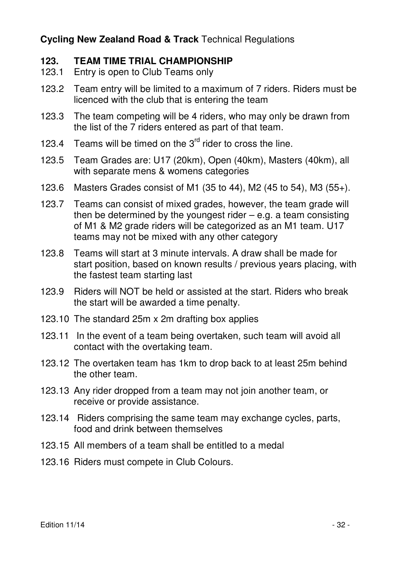#### **123. TEAM TIME TRIAL CHAMPIONSHIP**

- 123.1 Entry is open to Club Teams only
- 123.2 Team entry will be limited to a maximum of 7 riders. Riders must be licenced with the club that is entering the team
- 123.3 The team competing will be 4 riders, who may only be drawn from the list of the 7 riders entered as part of that team.
- 123.4 Teams will be timed on the  $3<sup>rd</sup>$  rider to cross the line.
- 123.5 Team Grades are: U17 (20km), Open (40km), Masters (40km), all with separate mens & womens categories
- 123.6 Masters Grades consist of M1 (35 to 44), M2 (45 to 54), M3 (55+).
- 123.7 Teams can consist of mixed grades, however, the team grade will then be determined by the youngest rider  $-$  e.g. a team consisting of M1 & M2 grade riders will be categorized as an M1 team. U17 teams may not be mixed with any other category
- 123.8 Teams will start at 3 minute intervals. A draw shall be made for start position, based on known results / previous years placing, with the fastest team starting last
- 123.9 Riders will NOT be held or assisted at the start. Riders who break the start will be awarded a time penalty.
- 123.10 The standard 25m x 2m drafting box applies
- 123.11 In the event of a team being overtaken, such team will avoid all contact with the overtaking team.
- 123.12 The overtaken team has 1km to drop back to at least 25m behind the other team.
- 123.13 Any rider dropped from a team may not join another team, or receive or provide assistance.
- 123.14 Riders comprising the same team may exchange cycles, parts, food and drink between themselves
- 123.15 All members of a team shall be entitled to a medal
- 123.16 Riders must compete in Club Colours.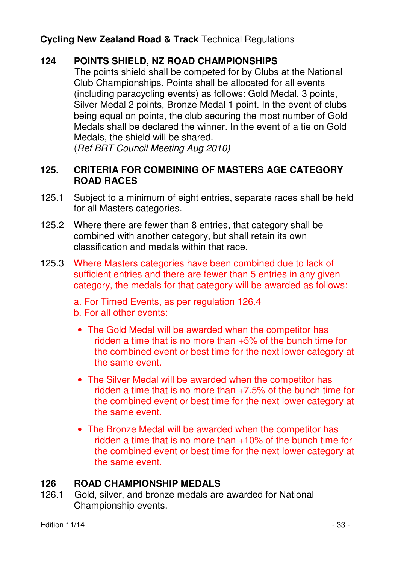#### **124 POINTS SHIELD, NZ ROAD CHAMPIONSHIPS**

 The points shield shall be competed for by Clubs at the National Club Championships. Points shall be allocated for all events (including paracycling events) as follows: Gold Medal, 3 points, Silver Medal 2 points, Bronze Medal 1 point. In the event of clubs being equal on points, the club securing the most number of Gold Medals shall be declared the winner. In the event of a tie on Gold Medals, the shield will be shared.

(Ref BRT Council Meeting Aug 2010)

#### **125. CRITERIA FOR COMBINING OF MASTERS AGE CATEGORY ROAD RACES**

- 125.1 Subject to a minimum of eight entries, separate races shall be held for all Masters categories.
- 125.2 Where there are fewer than 8 entries, that category shall be combined with another category, but shall retain its own classification and medals within that race.
- 125.3 Where Masters categories have been combined due to lack of sufficient entries and there are fewer than 5 entries in any given category, the medals for that category will be awarded as follows:
	- a. For Timed Events, as per regulation 126.4
	- b. For all other events:
	- The Gold Medal will be awarded when the competitor has ridden a time that is no more than +5% of the bunch time for the combined event or best time for the next lower category at the same event.
	- The Silver Medal will be awarded when the competitor has ridden a time that is no more than  $+7.5%$  of the bunch time for the combined event or best time for the next lower category at the same event.
	- The Bronze Medal will be awarded when the competitor has ridden a time that is no more than +10% of the bunch time for the combined event or best time for the next lower category at the same event.

#### **126 ROAD CHAMPIONSHIP MEDALS**

126.1 Gold, silver, and bronze medals are awarded for National Championship events.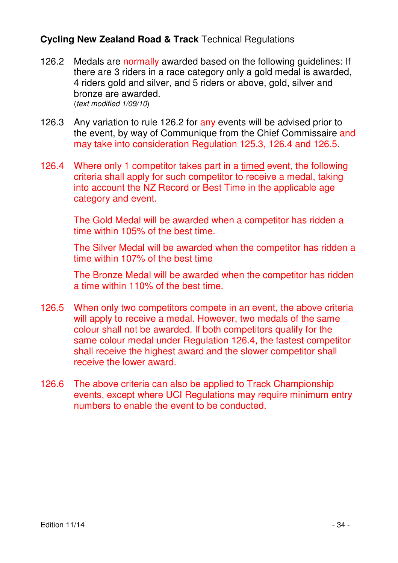- 126.2 Medals are normally awarded based on the following quidelines: If there are 3 riders in a race category only a gold medal is awarded, 4 riders gold and silver, and 5 riders or above, gold, silver and bronze are awarded. (text modified 1/09/10)
- 126.3 Any variation to rule 126.2 for any events will be advised prior to the event, by way of Communique from the Chief Commissaire and may take into consideration Regulation 125.3, 126.4 and 126.5.
- 126.4 Where only 1 competitor takes part in a timed event, the following criteria shall apply for such competitor to receive a medal, taking into account the NZ Record or Best Time in the applicable age category and event.

 The Gold Medal will be awarded when a competitor has ridden a time within 105% of the best time.

 The Silver Medal will be awarded when the competitor has ridden a time within 107% of the best time

 The Bronze Medal will be awarded when the competitor has ridden a time within 110% of the best time.

- 126.5 When only two competitors compete in an event, the above criteria will apply to receive a medal. However, two medals of the same colour shall not be awarded. If both competitors qualify for the same colour medal under Regulation 126.4, the fastest competitor shall receive the highest award and the slower competitor shall receive the lower award.
- 126.6 The above criteria can also be applied to Track Championship events, except where UCI Regulations may require minimum entry numbers to enable the event to be conducted.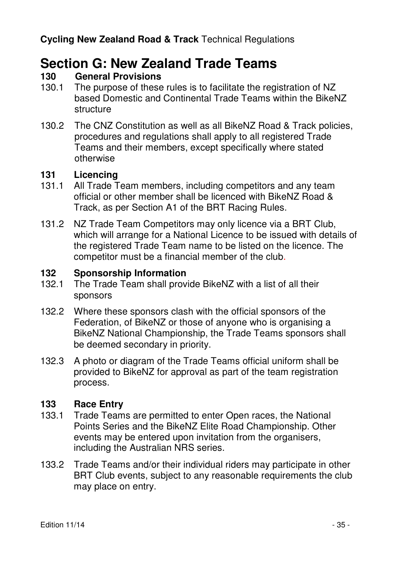# **Section G: New Zealand Trade Teams**<br>130 **General Provisions**

#### **130 General Provisions**

- 130.1 The purpose of these rules is to facilitate the registration of NZ based Domestic and Continental Trade Teams within the BikeNZ structure
- 130.2 The CNZ Constitution as well as all BikeNZ Road & Track policies, procedures and regulations shall apply to all registered Trade Teams and their members, except specifically where stated otherwise

#### **131 Licencing**

- 131.1 All Trade Team members, including competitors and any team official or other member shall be licenced with BikeNZ Road & Track, as per Section A1 of the BRT Racing Rules.
- 131.2 NZ Trade Team Competitors may only licence via a BRT Club, which will arrange for a National Licence to be issued with details of the registered Trade Team name to be listed on the licence. The competitor must be a financial member of the club.

#### **132 Sponsorship Information**

- 132.1 The Trade Team shall provide BikeNZ with a list of all their sponsors
- 132.2 Where these sponsors clash with the official sponsors of the Federation, of BikeNZ or those of anyone who is organising a BikeNZ National Championship, the Trade Teams sponsors shall be deemed secondary in priority.
- 132.3 A photo or diagram of the Trade Teams official uniform shall be provided to BikeNZ for approval as part of the team registration process.

# 133 **Race Entry**<br>133.1 Trade Team

- Trade Teams are permitted to enter Open races, the National Points Series and the BikeNZ Elite Road Championship. Other events may be entered upon invitation from the organisers. including the Australian NRS series.
- 133.2 Trade Teams and/or their individual riders may participate in other BRT Club events, subject to any reasonable requirements the club may place on entry.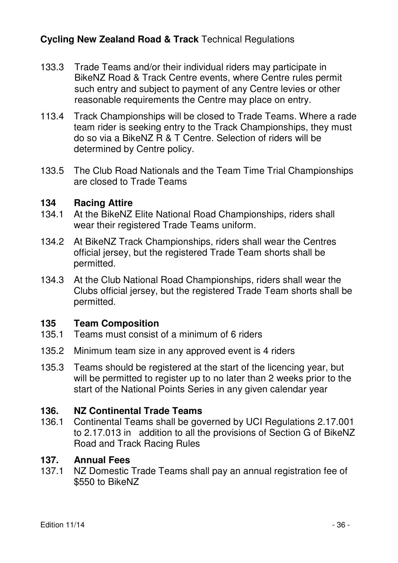- 133.3 Trade Teams and/or their individual riders may participate in BikeNZ Road & Track Centre events, where Centre rules permit such entry and subject to payment of any Centre levies or other reasonable requirements the Centre may place on entry.
- 113.4 Track Championships will be closed to Trade Teams. Where a rade team rider is seeking entry to the Track Championships, they must do so via a BikeNZ R & T Centre. Selection of riders will be determined by Centre policy.
- 133.5 The Club Road Nationals and the Team Time Trial Championships are closed to Trade Teams

# 134 **Racing Attire**<br>134.1 At the BikeNZ

- At the BikeNZ Elite National Road Championships, riders shall wear their registered Trade Teams uniform.
- 134.2 At BikeNZ Track Championships, riders shall wear the Centres official jersey, but the registered Trade Team shorts shall be permitted.
- 134.3 At the Club National Road Championships, riders shall wear the Clubs official jersey, but the registered Trade Team shorts shall be permitted.

#### **135 Team Composition**

- 135.1 Teams must consist of a minimum of 6 riders
- 135.2 Minimum team size in any approved event is 4 riders
- 135.3 Teams should be registered at the start of the licencing year, but will be permitted to register up to no later than 2 weeks prior to the start of the National Points Series in any given calendar year

# **136. NZ Continental Trade Teams**

136.1 Continental Teams shall be governed by UCI Regulations 2.17.001 to 2.17.013 in addition to all the provisions of Section G of BikeNZ Road and Track Racing Rules

#### **137. Annual Fees**

137.1 NZ Domestic Trade Teams shall pay an annual registration fee of \$550 to BikeNZ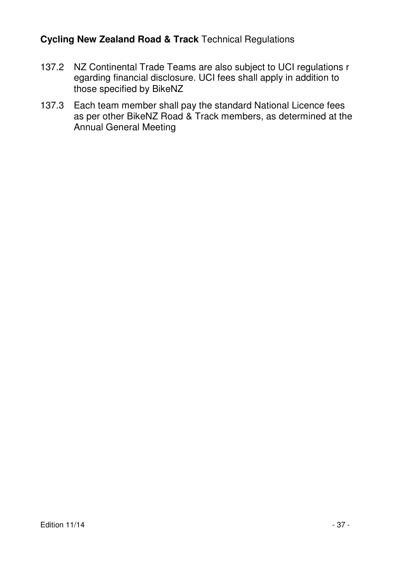- 137.2 NZ Continental Trade Teams are also subject to UCI regulations r egarding financial disclosure. UCI fees shall apply in addition to those specified by BikeNZ
- 137.3 Each team member shall pay the standard National Licence fees as per other BikeNZ Road & Track members, as determined at the Annual General Meeting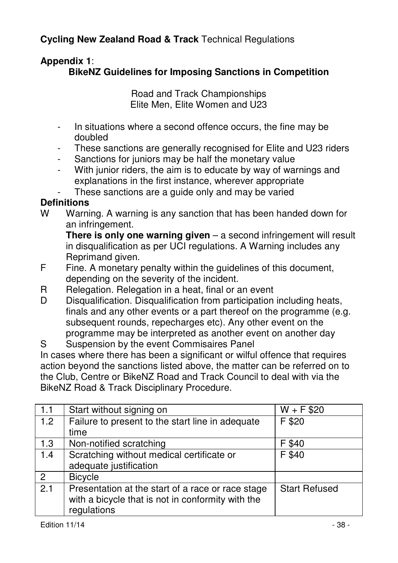### **Appendix 1**:

#### **BikeNZ Guidelines for Imposing Sanctions in Competition**

Road and Track Championships Elite Men, Elite Women and U23

- In situations where a second offence occurs, the fine may be doubled
- These sanctions are generally recognised for Elite and U23 riders
- Sanctions for juniors may be half the monetary value
- With junior riders, the aim is to educate by way of warnings and explanations in the first instance, wherever appropriate

These sanctions are a guide only and may be varied

#### **Definitions**

W Warning. A warning is any sanction that has been handed down for an infringement.

**There is only one warning given** – a second infringement will result in disqualification as per UCI regulations. A Warning includes any Reprimand given.<br>F Fine, A monetary

- Fine. A monetary penalty within the guidelines of this document, depending on the severity of the incident.
- R Relegation. Relegation in a heat, final or an event
- D Disqualification. Disqualification from participation including heats, finals and any other events or a part thereof on the programme (e.g. subsequent rounds, repecharges etc). Any other event on the programme may be interpreted as another event on another day
- S Suspension by the event Commisaires Panel

In cases where there has been a significant or wilful offence that requires action beyond the sanctions listed above, the matter can be referred on to the Club, Centre or BikeNZ Road and Track Council to deal with via the BikeNZ Road & Track Disciplinary Procedure.

| 1.1 | Start without signing on                          | $W + F$ \$20         |
|-----|---------------------------------------------------|----------------------|
| 1.2 | Failure to present to the start line in adequate  | F \$20               |
|     | time                                              |                      |
| 1.3 | Non-notified scratching                           | F \$40               |
| 1.4 | Scratching without medical certificate or         | F \$40               |
|     | adequate justification                            |                      |
| 2   | <b>Bicycle</b>                                    |                      |
| 2.1 | Presentation at the start of a race or race stage | <b>Start Refused</b> |
|     | with a bicycle that is not in conformity with the |                      |
|     | regulations                                       |                      |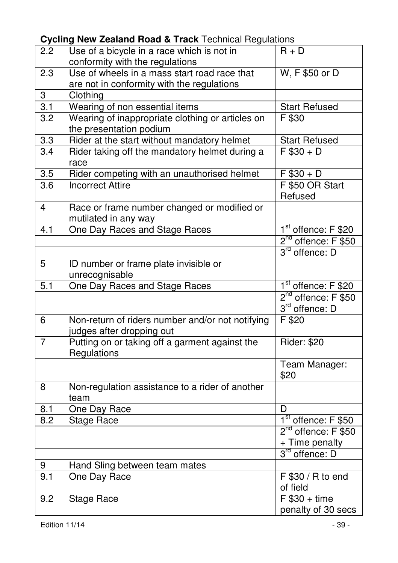| 2.2              | Use of a bicycle in a race which is not in                    | $R + \overline{D}$                    |
|------------------|---------------------------------------------------------------|---------------------------------------|
|                  | conformity with the regulations                               |                                       |
| 2.3              | Use of wheels in a mass start road race that                  | W, F \$50 or D                        |
|                  | are not in conformity with the regulations                    |                                       |
| 3                | Clothing                                                      |                                       |
| $\overline{3.1}$ | Wearing of non essential items                                | <b>Start Refused</b>                  |
| $\overline{3.2}$ | Wearing of inappropriate clothing or articles on              | F \$30                                |
|                  | the presentation podium                                       |                                       |
| 3.3              | Rider at the start without mandatory helmet                   | <b>Start Refused</b>                  |
| 3.4              | Rider taking off the mandatory helmet during a                | $F $30 + D$                           |
|                  | race                                                          |                                       |
| 3.5              | Rider competing with an unauthorised helmet                   | $F $30 + D$                           |
| $\overline{3.6}$ | <b>Incorrect Attire</b>                                       | F \$50 OR Start                       |
|                  |                                                               | Refused                               |
| 4                | Race or frame number changed or modified or                   |                                       |
|                  | mutilated in any way                                          |                                       |
| 4.1              | One Day Races and Stage Races                                 | 1 <sup>st</sup> offence: F \$20       |
|                  |                                                               | $2^{nd}$ offence: $F$ \$50            |
|                  |                                                               | 3 <sup>rd</sup> offence: D            |
| 5                | ID number or frame plate invisible or                         |                                       |
|                  | unrecognisable                                                |                                       |
|                  |                                                               |                                       |
| 5.1              | One Day Races and Stage Races                                 | 1 <sup>st</sup> offence: F \$20       |
|                  |                                                               | 2 <sup>nd</sup> offence: F \$50       |
|                  |                                                               | 3rd offence: D                        |
| 6                |                                                               | F \$20                                |
|                  | Non-return of riders number and/or not notifying              |                                       |
| 7                | judges after dropping out                                     |                                       |
|                  | Putting on or taking off a garment against the<br>Regulations | <b>Rider: \$20</b>                    |
|                  |                                                               |                                       |
|                  |                                                               | Team Manager:<br>\$20                 |
| 8                | Non-regulation assistance to a rider of another               |                                       |
|                  | team                                                          |                                       |
| 8.1              | One Day Race                                                  | D                                     |
| $\overline{8.2}$ | <b>Stage Race</b>                                             | $1st$ offence: F \$50                 |
|                  |                                                               | 2 <sup>nd</sup> offence: F \$50       |
|                  |                                                               | + Time penalty                        |
|                  |                                                               | 3 <sup>rd</sup> offence: D            |
| 9                | Hand Sling between team mates                                 |                                       |
| $\overline{9.1}$ |                                                               | F \$30 / R to end                     |
|                  | One Day Race                                                  |                                       |
| 9.2              |                                                               | of field                              |
|                  | <b>Stage Race</b>                                             | $F$ \$30 + time<br>penalty of 30 secs |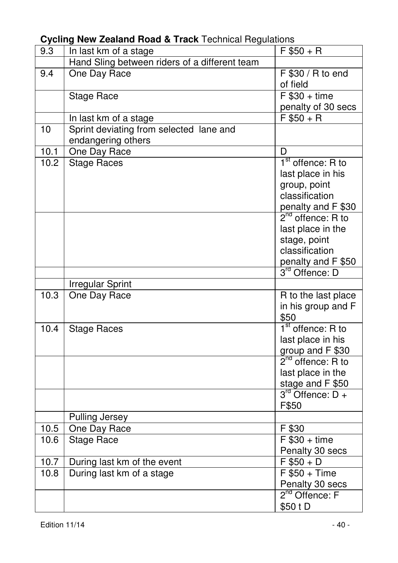| 9.3  | .<br>In last km of a stage                    | $F $50 + R$                      |
|------|-----------------------------------------------|----------------------------------|
|      | Hand Sling between riders of a different team |                                  |
| 9.4  | One Day Race                                  | F \$30 / R to end                |
|      |                                               | of field                         |
|      | <b>Stage Race</b>                             | $F $30 + time$                   |
|      |                                               | penalty of 30 secs               |
|      | In last km of a stage                         | $F $50 + R$                      |
| 10   | Sprint deviating from selected lane and       |                                  |
|      | endangering others                            |                                  |
| 10.1 | One Day Race                                  | D                                |
| 10.2 | <b>Stage Races</b>                            | 1 <sup>st</sup> offence: R to    |
|      |                                               | last place in his                |
|      |                                               | group, point                     |
|      |                                               | classification                   |
|      |                                               | penalty and F \$30               |
|      |                                               | $2nd$ offence: R to              |
|      |                                               | last place in the                |
|      |                                               | stage, point                     |
|      |                                               | classification                   |
|      |                                               | penalty and F \$50               |
|      |                                               | 3rd Offence: D                   |
|      | <b>Irregular Sprint</b>                       |                                  |
| 10.3 | One Day Race                                  | R to the last place              |
|      |                                               | in his group and F               |
|      |                                               | \$50                             |
| 10.4 | <b>Stage Races</b>                            | $1st$ offence: R to              |
|      |                                               | last place in his                |
|      |                                               | group and F \$30                 |
|      |                                               | $\frac{g}{2^{nd}}$ offence: R to |
|      |                                               | last place in the                |
|      |                                               | stage and F \$50                 |
|      |                                               | $3^{rd}$ Offence: D +            |
|      |                                               | F\$50                            |
|      | Pulling Jersey                                |                                  |
| 10.5 | One Day Race                                  | F \$30                           |
| 10.6 | <b>Stage Race</b>                             | $F $30 + time$                   |
|      |                                               | Penalty 30 secs                  |
| 10.7 | During last km of the event                   | $F $50 + D$                      |
| 10.8 | During last km of a stage                     | $F $50 + Time$                   |
|      |                                               | Penalty 30 secs                  |
|      |                                               | 2 <sup>nd</sup> Offence: F       |
|      |                                               | \$50 t D                         |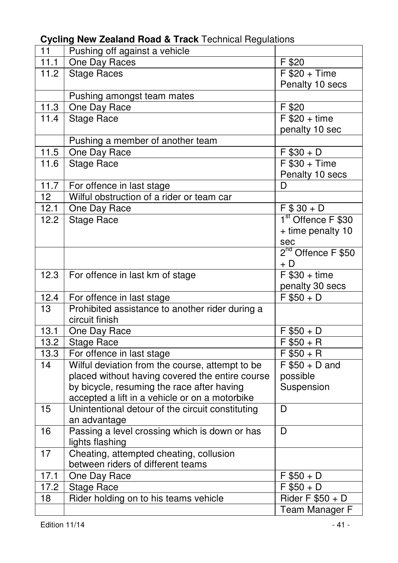| 11                | Pushing off against a vehicle                    |                                |
|-------------------|--------------------------------------------------|--------------------------------|
| 11.1              | One Day Races                                    | F \$20                         |
| 11.2              | <b>Stage Races</b>                               | $F $20 + Time$                 |
|                   |                                                  | Penalty 10 secs                |
|                   | Pushing amongst team mates                       |                                |
| $\overline{11}.3$ | One Day Race                                     | F \$20                         |
| 11.4              | <b>Stage Race</b>                                | $F $20 + time$                 |
|                   |                                                  | penalty 10 sec                 |
|                   | Pushing a member of another team                 |                                |
| 11.5              | One Day Race                                     | $F $30 + D$                    |
| 11.6              | <b>Stage Race</b>                                | $F $30 + Time$                 |
|                   |                                                  | Penalty 10 secs                |
| 11.7              | For offence in last stage                        | D                              |
| $\overline{12}$   | Wilful obstruction of a rider or team car        |                                |
| 12.1              | One Day Race                                     | $F $30 + D$                    |
| 12.2              | <b>Stage Race</b>                                | 1 <sup>st</sup> Offence F \$30 |
|                   |                                                  | + time penalty 10              |
|                   |                                                  | sec                            |
|                   |                                                  | 2 <sup>nd</sup> Offence F \$50 |
|                   |                                                  | $+ D$                          |
| 12.3              | For offence in last km of stage                  | $F$ \$30 + time                |
|                   |                                                  | penalty 30 secs                |
| 12.4              | For offence in last stage                        | $F$ \$50 + D                   |
| 13                | Prohibited assistance to another rider during a  |                                |
|                   | circuit finish                                   |                                |
| 13.1              | One Day Race                                     | $\overline{F $50 + D}$         |
| 13.2              | <b>Stage Race</b>                                | $F $50 + R$                    |
| 13.3              | For offence in last stage                        | $F $50 + R$                    |
| 14                | Wilful deviation from the course, attempt to be  | $F $50 + D$ and                |
|                   | placed without having covered the entire course  | possible                       |
|                   | by bicycle, resuming the race after having       | Suspension                     |
|                   | accepted a lift in a vehicle or on a motorbike   |                                |
| $\overline{15}$   | Unintentional detour of the circuit constituting | $\overline{D}$                 |
|                   | an advantage                                     |                                |
| 16                | Passing a level crossing which is down or has    | $\overline{D}$                 |
|                   | lights flashing                                  |                                |
| $\overline{17}$   | Cheating, attempted cheating, collusion          |                                |
|                   | between riders of different teams                |                                |
| 17.1              | One Day Race                                     | $F $50 + D$                    |
| 17.2              | <b>Stage Race</b>                                | $F $50 + D$                    |
| 18                | Rider holding on to his teams vehicle            | Rider $F $50 + D$              |
|                   |                                                  | <b>Team Manager F</b>          |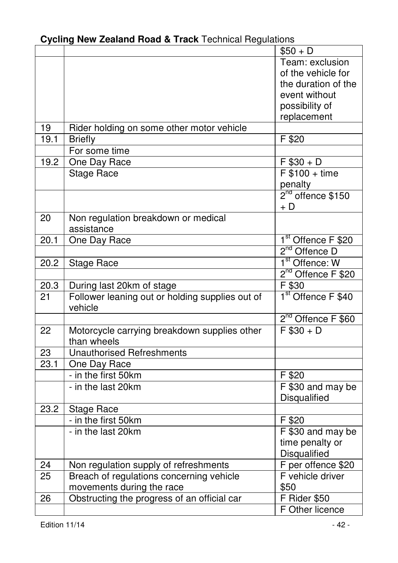|  |  |  |  |  | Cycling New Zealand Road & Track Technical Regulations |  |
|--|--|--|--|--|--------------------------------------------------------|--|
|--|--|--|--|--|--------------------------------------------------------|--|

|                 |                                                            | $$50 + D$                                |
|-----------------|------------------------------------------------------------|------------------------------------------|
|                 |                                                            | Team: exclusion                          |
|                 |                                                            | of the vehicle for                       |
|                 |                                                            | the duration of the                      |
|                 |                                                            | event without                            |
|                 |                                                            | possibility of                           |
|                 |                                                            | replacement                              |
| 19              | Rider holding on some other motor vehicle                  |                                          |
| 19.1            | <b>Briefly</b>                                             | F \$20                                   |
|                 | For some time                                              |                                          |
| 19.2            | One Day Race                                               | $F $30 + D$                              |
|                 | <b>Stage Race</b>                                          | $F $100 + time$                          |
|                 |                                                            |                                          |
|                 |                                                            | penalty<br>2 <sup>nd</sup> offence \$150 |
|                 |                                                            | + D                                      |
| 20              | Non regulation breakdown or medical                        |                                          |
|                 | assistance                                                 |                                          |
| 20.1            | One Day Race                                               | 1 <sup>st</sup> Offence F \$20           |
|                 |                                                            | 2 <sup>nd</sup> Offence D                |
| 20.2            | <b>Stage Race</b>                                          | 1 <sup>st</sup> Offence: W               |
|                 |                                                            | 2 <sup>nd</sup> Offence F \$20           |
| 20.3            | During last 20km of stage                                  | F \$30                                   |
| $\overline{21}$ | Follower leaning out or holding supplies out of<br>vehicle | 1 <sup>st</sup> Offence F \$40           |
|                 |                                                            | 2 <sup>nd</sup> Offence F \$60           |
| 22              | Motorcycle carrying breakdown supplies other               | $F $30 + D$                              |
|                 | than wheels                                                |                                          |
| 23              | <b>Unauthorised Refreshments</b>                           |                                          |
| 23.1            | One Day Race                                               |                                          |
|                 | - in the first 50km                                        | F \$20                                   |
|                 | - in the last 20km                                         | F \$30 and may be                        |
|                 |                                                            | Disqualified                             |
| 23.2            | <b>Stage Race</b>                                          |                                          |
|                 | - in the first 50km                                        | $\overline{F}$ \$20                      |
|                 | - in the last 20km                                         | F \$30 and may be                        |
|                 |                                                            | time penalty or                          |
|                 |                                                            | Disqualified                             |
| 24              | Non regulation supply of refreshments                      | F per offence \$20                       |
| 25              | Breach of regulations concerning vehicle                   | F vehicle driver                         |
|                 | movements during the race                                  | \$50                                     |
| 26              | Obstructing the progress of an official car                | F Rider \$50                             |
|                 |                                                            | F Other licence                          |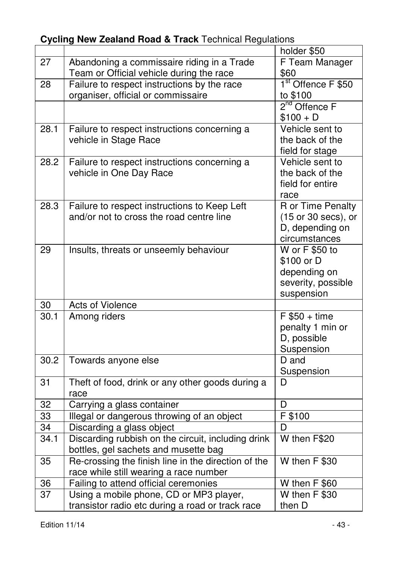#### holder \$50 27 Abandoning a commissaire riding in a Trade Team or Official vehicle during the race F Team Manager \$60 28 Failure to respect instructions by the race organiser, official or commissaire 1<sup>st</sup> Offence F \$50 to \$100 <u>2</u>  $\frac{1}{2^{nd}}$  Offence F  $$100 + D$ 28.1 Failure to respect instructions concerning a vehicle in Stage Race Vehicle sent to the back of the field for stage 28.2 Failure to respect instructions concerning a vehicle in One Day Race Vehicle sent to the back of the field for entire race 28.3 Failure to respect instructions to Keep Left and/or not to cross the road centre line R or Time Penalty (15 or 30 secs), or D, depending on circumstances<br>W or F \$50 to 29 | Insults, threats or unseemly behaviour \$100 or D depending on severity, possible suspension 30 Acts of Violence 30.1 Among riders F \$50 + time penalty 1 min or D, possible **Suspension** 30.2 Towards anyone else Suspension 31 Theft of food, drink or any other goods during a race D. 32 Carrying a glass container<br>33 Illegal or dangerous throwing of an object F \$100 33 | Illegal or dangerous throwing of an object 34 Discarding a glass object D 34.1 Discarding rubbish on the circuit, including drink bottles, gel sachets and musette bag W then F\$20 35 Re-crossing the finish line in the direction of the race while still wearing a race number W then F \$30 36 Failing to attend official ceremonies W then F \$60<br>37 Using a mobile phone. CD or MP3 player. W then F \$30 Using a mobile phone, CD or MP3 player, transistor radio etc during a road or track race W then F \$30 then D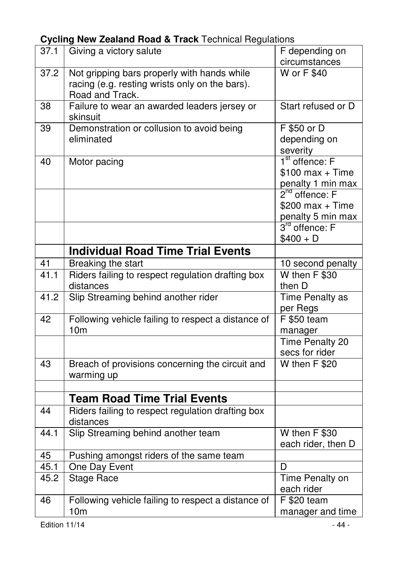| 37.1              | Giving a victory salute                                  | F depending on         |
|-------------------|----------------------------------------------------------|------------------------|
|                   |                                                          | circumstances          |
| $\overline{37.2}$ | Not gripping bars properly with hands while              | <b>W</b> or F \$40     |
|                   | racing (e.g. resting wrists only on the bars).           |                        |
|                   | Road and Track.                                          |                        |
| 38                | Failure to wear an awarded leaders jersey or<br>skinsuit | Start refused or D     |
| 39                | Demonstration or collusion to avoid being                | F \$50 or D            |
|                   | eliminated                                               | depending on           |
|                   |                                                          | severity               |
| 40                | Motor pacing                                             | $1st$ offence: F       |
|                   |                                                          | $$100$ max + Time      |
|                   |                                                          | penalty 1 min max      |
|                   |                                                          | $2nd$ offence: F       |
|                   |                                                          | $$200$ max + Time      |
|                   |                                                          | penalty 5 min max      |
|                   |                                                          | $3rd$ offence: F       |
|                   |                                                          | $$400 + D$             |
|                   | <b>Individual Road Time Trial Events</b>                 |                        |
| 41                | Breaking the start                                       | 10 second penalty      |
| 41.1              | Riders failing to respect regulation drafting box        | W then F \$30          |
|                   | distances                                                | then D                 |
| 41.2              | Slip Streaming behind another rider                      | Time Penalty as        |
|                   |                                                          | per Regs               |
| 42                | Following vehicle failing to respect a distance of       | F \$50 team            |
|                   | 10 <sub>m</sub>                                          | manager                |
|                   |                                                          | <b>Time Penalty 20</b> |
|                   |                                                          | secs for rider         |
| 43                | Breach of provisions concerning the circuit and          | W then F \$20          |
|                   | warming up                                               |                        |
|                   |                                                          |                        |
|                   | <b>Team Road Time Trial Events</b>                       |                        |
| 44                | Riders failing to respect regulation drafting box        |                        |
|                   | distances                                                |                        |
| 44.1              | Slip Streaming behind another team                       | W then F \$30          |
|                   |                                                          | each rider, then D     |
| 45                | Pushing amongst riders of the same team                  |                        |
| 45.1              | One Day Event                                            | D                      |
| 45.2              | <b>Stage Race</b>                                        | Time Penalty on        |
|                   |                                                          | each rider             |
| 46                | Following vehicle failing to respect a distance of       | F \$20 team            |
|                   | 10 <sub>m</sub>                                          | manager and time       |
| Edition 11/14     |                                                          | - 44 -                 |
|                   |                                                          |                        |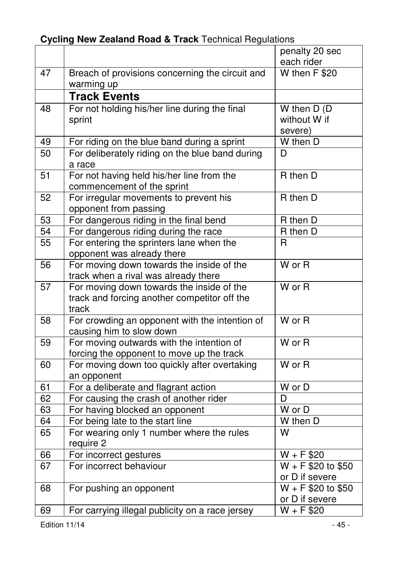|                 |                                                                                                    | penalty 20 sec<br>each rider             |
|-----------------|----------------------------------------------------------------------------------------------------|------------------------------------------|
| 47              | Breach of provisions concerning the circuit and                                                    | W then F \$20                            |
|                 | warming up                                                                                         |                                          |
|                 | <b>Track Events</b>                                                                                |                                          |
| $\overline{48}$ | For not holding his/her line during the final<br>sprint                                            | W then $D(D)$<br>without W if<br>severe) |
| 49              | For riding on the blue band during a sprint                                                        | W then D                                 |
| 50              | For deliberately riding on the blue band during<br>a race                                          | D                                        |
| $\overline{51}$ | For not having held his/her line from the<br>commencement of the sprint                            | R then D                                 |
| 52              | For irregular movements to prevent his<br>opponent from passing                                    | R then D                                 |
| 53              | For dangerous riding in the final bend                                                             | R then D                                 |
| 54              | For dangerous riding during the race                                                               | R then D                                 |
| 55              | For entering the sprinters lane when the<br>opponent was already there                             | R                                        |
| $\overline{56}$ | For moving down towards the inside of the<br>track when a rival was already there                  | $W$ or $R$                               |
| 57              | For moving down towards the inside of the<br>track and forcing another competitor off the<br>track | W or R                                   |
| 58              | For crowding an opponent with the intention of<br>causing him to slow down                         | $\overline{W}$ or $\overline{R}$         |
| $\overline{59}$ | For moving outwards with the intention of<br>forcing the opponent to move up the track             | $W$ or R                                 |
| 60              | For moving down too quickly after overtaking<br>an opponent                                        | $W$ or $R$                               |
| 61              | For a deliberate and flagrant action                                                               | $\overline{W}$ or D                      |
| 62              | For causing the crash of another rider                                                             | D                                        |
| 63              | For having blocked an opponent                                                                     | $\overline{W}$ or $\overline{D}$         |
| 64              | For being late to the start line                                                                   | W then D                                 |
| 65              | For wearing only 1 number where the rules<br>require 2                                             | W                                        |
| 66              | For incorrect gestures                                                                             | $W + F $20$                              |
| 67              | For incorrect behaviour                                                                            | $W + F $20 to $50$<br>or D if severe     |
| 68              | For pushing an opponent                                                                            | $W + F $20 to $50$<br>or D if severe     |
| 69              | For carrying illegal publicity on a race jersey                                                    | $W + F $20$                              |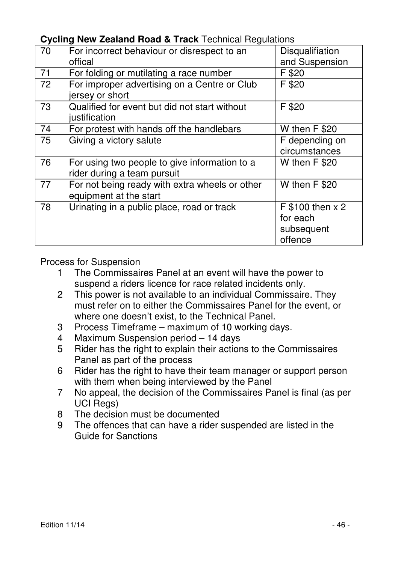**Cycling New Zealand Road & Track** Technical Regulations

| 70 |                                                |                  |
|----|------------------------------------------------|------------------|
|    | For incorrect behaviour or disrespect to an    | Disqualifiation  |
|    | offical                                        | and Suspension   |
| 71 | For folding or mutilating a race number        | F \$20           |
| 72 | For improper advertising on a Centre or Club   | F \$20           |
|    | jersey or short                                |                  |
| 73 | Qualified for event but did not start without  | F \$20           |
|    | justification                                  |                  |
| 74 | For protest with hands off the handlebars      | W then F \$20    |
| 75 | Giving a victory salute                        | F depending on   |
|    |                                                | circumstances    |
| 76 | For using two people to give information to a  | W then F \$20    |
|    | rider during a team pursuit                    |                  |
| 77 | For not being ready with extra wheels or other | W then F \$20    |
|    | equipment at the start                         |                  |
| 78 | Urinating in a public place, road or track     | F \$100 then x 2 |
|    |                                                | for each         |
|    |                                                | subsequent       |
|    |                                                | offence          |
|    |                                                |                  |

Process for Suspension

- 1 The Commissaires Panel at an event will have the power to suspend a riders licence for race related incidents only.
- 2 This power is not available to an individual Commissaire. They must refer on to either the Commissaires Panel for the event, or where one doesn't exist, to the Technical Panel.
- 3 Process Timeframe maximum of 10 working days.
- 4 Maximum Suspension period 14 days
- 5 Rider has the right to explain their actions to the Commissaires Panel as part of the process
- 6 Rider has the right to have their team manager or support person with them when being interviewed by the Panel
- 7 No appeal, the decision of the Commissaires Panel is final (as per UCI Regs)
- 8 The decision must be documented
- 9 The offences that can have a rider suspended are listed in the Guide for Sanctions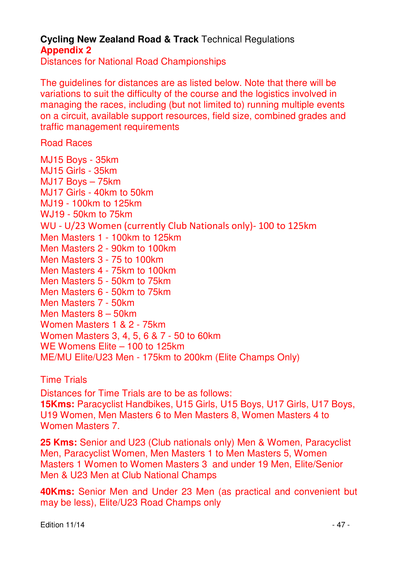Distances for National Road Championships

The guidelines for distances are as listed below. Note that there will be variations to suit the difficulty of the course and the logistics involved in managing the races, including (but not limited to) running multiple events on a circuit, available support resources, field size, combined grades and traffic management requirements

Road Races

MJ15 Boys - 35km MJ15 Girls - 35km MJ17 Boys – 75km MJ17 Girls - 40km to 50km MJ19 - 100km to 125km WJ19 - 50km to 75km WU - U/23 Women (currently Club Nationals only)- 100 to 125km Men Masters 1 - 100km to 125km Men Masters 2 - 90km to 100km Men Masters 3 - 75 to 100km Men Masters 4 - 75km to 100km Men Masters 5 - 50km to 75km Men Masters 6 - 50km to 75km Men Masters 7 - 50km Men Masters 8 – 50km Women Masters 1 & 2 - 75km Women Masters 3, 4, 5, 6 & 7 - 50 to 60km WE Womens Elite – 100 to 125km ME/MU Elite/U23 Men - 175km to 200km (Elite Champs Only)

Time Trials

Distances for Time Trials are to be as follows:

**15Kms:** Paracyclist Handbikes, U15 Girls, U15 Boys, U17 Girls, U17 Boys, U19 Women, Men Masters 6 to Men Masters 8, Women Masters 4 to Women Masters 7.

**25 Kms:** Senior and U23 (Club nationals only) Men & Women, Paracyclist Men, Paracyclist Women, Men Masters 1 to Men Masters 5, Women Masters 1 Women to Women Masters 3 and under 19 Men, Elite/Senior Men & U23 Men at Club National Champs

**40Kms:** Senior Men and Under 23 Men (as practical and convenient but may be less), Elite/U23 Road Champs only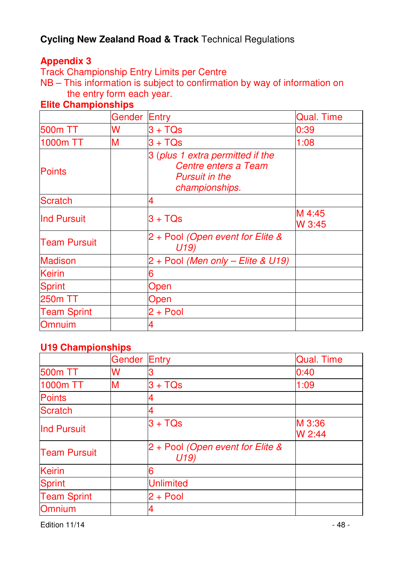#### **Appendix 3**

Track Championship Entry Limits per Centre

NB – This information is subject to confirmation by way of information on the entry form each year.

#### **Gender Entry Communist Communist Communist Communist Communist Communist Communist Communist Communist Communist Communist Communist Communist Communist Communist Communist Communist Communist Communist Communist Communis** 500m TT W 3 + TQs 0:39  $1000$ m TT M  $3 + TQs$  1:08 **Points** 3 (plus 1 extra permitted if the Centre enters a Team Pursuit in the championships. Scratch 4  $\begin{array}{ccc} \n\text{Ind Pursuit} & & 3 + \text{TQs} & & \text{M 4:45} \\
\hline\n\end{array}$ W 3:45 Team Pursuit 2 + Pool (Open event for Elite & U19) Madison 2 + Pool (Men only – Elite & U19) Keirin 6 Sprint | Open 250m TT and a large open Team Sprint  $2 + Pool$ Omnuim 4

#### **Elite Championships**

#### **U19 Championships**

|                     | Gender | <b>Entry</b>                            | <b>Qual. Time</b> |
|---------------------|--------|-----------------------------------------|-------------------|
| <b>500m TT</b>      | w      |                                         | 0:40              |
| 1000m TT            | м      | $3 + TQs$                               | 1:09              |
| <b>Points</b>       |        |                                         |                   |
| <b>Scratch</b>      |        |                                         |                   |
| <b>Ind Pursuit</b>  |        | $3 + TQs$                               | M 3:36<br>W 2:44  |
| <b>Team Pursuit</b> |        | 2 + Pool (Open event for Elite &<br>U19 |                   |
| <b>Keirin</b>       |        | 6                                       |                   |
| <b>Sprint</b>       |        | <b>Unlimited</b>                        |                   |
| <b>Team Sprint</b>  |        | $2 + Pool$                              |                   |
| Omnium              |        |                                         |                   |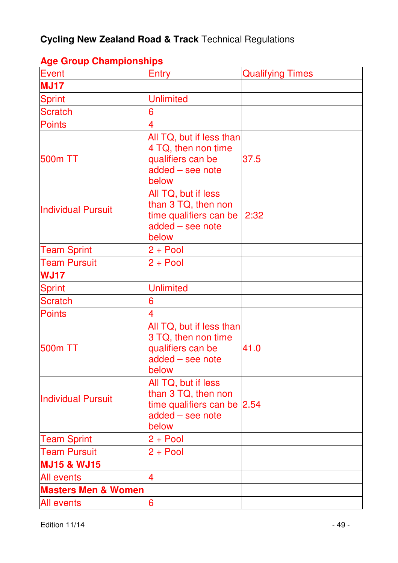| Event                          | Entry                                                                                                  | <b>Qualifying Times</b> |
|--------------------------------|--------------------------------------------------------------------------------------------------------|-------------------------|
| <b>MJ17</b>                    |                                                                                                        |                         |
| <b>Sprint</b>                  | <b>Unlimited</b>                                                                                       |                         |
| <b>Scratch</b>                 | 6                                                                                                      |                         |
| <b>Points</b>                  | $\overline{4}$                                                                                         |                         |
| 500m TT                        | All TQ, but if less than<br>4 TQ, then non time<br>qualifiers can be<br>added - see note<br>below      | 37.5                    |
| <b>Individual Pursuit</b>      | All TQ, but if less<br>than 3 TQ, then non<br>time qualifiers can be<br>added - see note<br>below      | 2:32                    |
| <b>Team Sprint</b>             | $2 + Pool$                                                                                             |                         |
| <b>Team Pursuit</b>            | $2 + Pool$                                                                                             |                         |
| <b>WJ17</b>                    |                                                                                                        |                         |
| <b>Sprint</b>                  | <b>Unlimited</b>                                                                                       |                         |
| <b>Scratch</b>                 | 6                                                                                                      |                         |
| <b>Points</b>                  | 4                                                                                                      |                         |
| 500m TT                        | All TQ, but if less than<br>3 TQ, then non time<br>qualifiers can be<br>added - see note<br>below      | 41.0                    |
| <b>Individual Pursuit</b>      | All TQ, but if less<br>than 3 TQ, then non<br>time qualifiers can be 2.54<br>added - see note<br>below |                         |
| <b>Team Sprint</b>             | $2 + Pool$                                                                                             |                         |
| <b>Team Pursuit</b>            | $2 + Pool$                                                                                             |                         |
| <b>MJ15 &amp; WJ15</b>         |                                                                                                        |                         |
| <b>All events</b>              | 4                                                                                                      |                         |
| <b>Masters Men &amp; Women</b> |                                                                                                        |                         |
| <b>All events</b>              | 6                                                                                                      |                         |

### **Age Group Championships**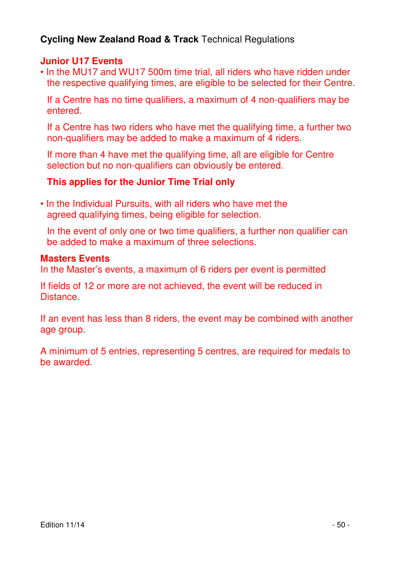#### **Junior U17 Events**

• In the MU17 and WU17 500m time trial, all riders who have ridden under the respective qualifying times, are eligible to be selected for their Centre.

 If a Centre has no time qualifiers, a maximum of 4 non-qualifiers may be entered.

 If a Centre has two riders who have met the qualifying time, a further two non-qualifiers may be added to make a maximum of 4 riders.

 If more than 4 have met the qualifying time, all are eligible for Centre selection but no non-qualifiers can obviously be entered.

#### **This applies for the Junior Time Trial only**

• In the Individual Pursuits, with all riders who have met the agreed qualifying times, being eligible for selection.

 In the event of only one or two time qualifiers, a further non qualifier can be added to make a maximum of three selections.

#### **Masters Events**

In the Master's events, a maximum of 6 riders per event is permitted

If fields of 12 or more are not achieved, the event will be reduced in Distance.

If an event has less than 8 riders, the event may be combined with another age group.

A minimum of 5 entries, representing 5 centres, are required for medals to be awarded.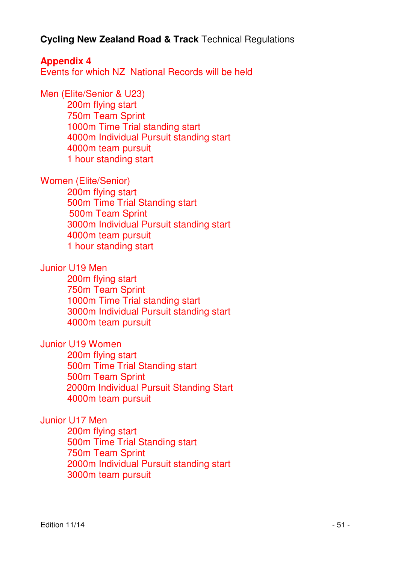**Appendix 4**  Events for which NZ National Records will be held

Men (Elite/Senior & U23) 200m flying start 750m Team Sprint 1000m Time Trial standing start 4000m Individual Pursuit standing start 4000m team pursuit 1 hour standing start

Women (Elite/Senior)

 200m flying start 500m Time Trial Standing start 500m Team Sprint 3000m Individual Pursuit standing start 4000m team pursuit 1 hour standing start

#### Junior U19 Men

 200m flying start 750m Team Sprint 1000m Time Trial standing start 3000m Individual Pursuit standing start 4000m team pursuit

#### Junior U19 Women

 200m flying start 500m Time Trial Standing start 500m Team Sprint 2000m Individual Pursuit Standing Start 4000m team pursuit

#### Junior U17 Men

 200m flying start 500m Time Trial Standing start 750m Team Sprint 2000m Individual Pursuit standing start 3000m team pursuit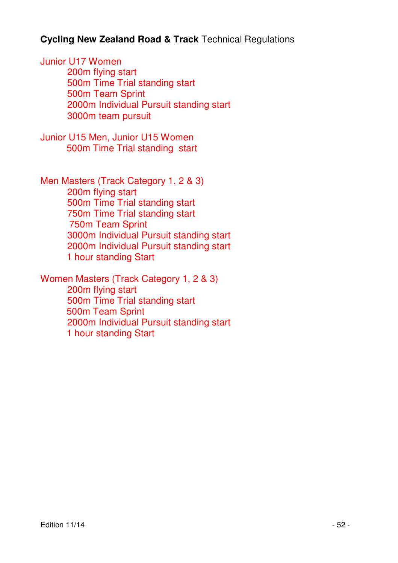Junior U17 Women 200m flying start 500m Time Trial standing start 500m Team Sprint 2000m Individual Pursuit standing start 3000m team pursuit

Junior U15 Men, Junior U15 Women 500m Time Trial standing start

Men Masters (Track Category 1, 2 & 3) 200m flying start 500m Time Trial standing start 750m Time Trial standing start 750m Team Sprint 3000m Individual Pursuit standing start 2000m Individual Pursuit standing start 1 hour standing Start

Women Masters (Track Category 1, 2 & 3)

 200m flying start 500m Time Trial standing start 500m Team Sprint 2000m Individual Pursuit standing start 1 hour standing Start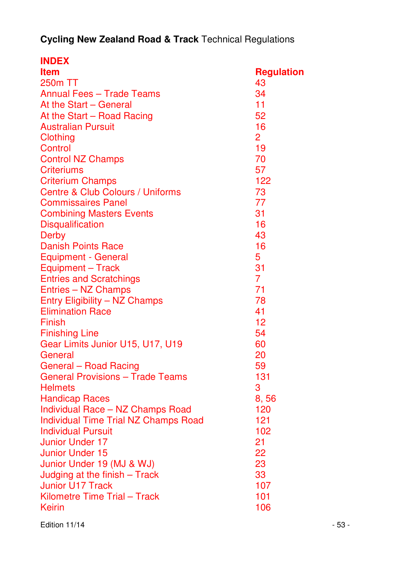| <b>INDEX</b>                                |                   |
|---------------------------------------------|-------------------|
| <b>Item</b>                                 | <b>Regulation</b> |
| 250m TT                                     | 43                |
| <b>Annual Fees - Trade Teams</b>            | 34                |
| At the Start - General                      | 11                |
| At the Start - Road Racing                  | 52                |
| <b>Australian Pursuit</b>                   | 16                |
| Clothing                                    | 2                 |
| Control                                     | 19                |
| <b>Control NZ Champs</b>                    | 70                |
| <b>Criteriums</b>                           | 57                |
| <b>Criterium Champs</b>                     | 122               |
| Centre & Club Colours / Uniforms            | 73                |
| <b>Commissaires Panel</b>                   | 77                |
| <b>Combining Masters Events</b>             | 31                |
| <b>Disqualification</b>                     | 16                |
| <b>Derby</b>                                | 43                |
| <b>Danish Points Race</b>                   | 16                |
| <b>Equipment - General</b>                  | 5                 |
| Equipment - Track                           | 31                |
| <b>Entries and Scratchings</b>              | $\overline{7}$    |
| Entries - NZ Champs                         | 71                |
| Entry Eligibility - NZ Champs               | 78                |
| <b>Elimination Race</b>                     | 41                |
| Finish                                      | 12                |
| <b>Finishing Line</b>                       | 54                |
| Gear Limits Junior U15, U17, U19            | 60                |
| General                                     | 20                |
| General - Road Racing                       | 59                |
| <b>General Provisions - Trade Teams</b>     | 131               |
| <b>Helmets</b>                              | 3                 |
| <b>Handicap Races</b>                       | 8,56              |
| Individual Race - NZ Champs Road            | 120               |
| <b>Individual Time Trial NZ Champs Road</b> | 121               |
| Individual Pursuit                          | 102               |
| Junior Under 17                             | 21                |
| <b>Junior Under 15</b>                      | 22                |
| Junior Under 19 (MJ & WJ)                   | 23                |
| Judging at the finish - Track               | 33                |
| <b>Junior U17 Track</b>                     | 107               |
| Kilometre Time Trial - Track                | 101               |
| Keirin                                      | 106               |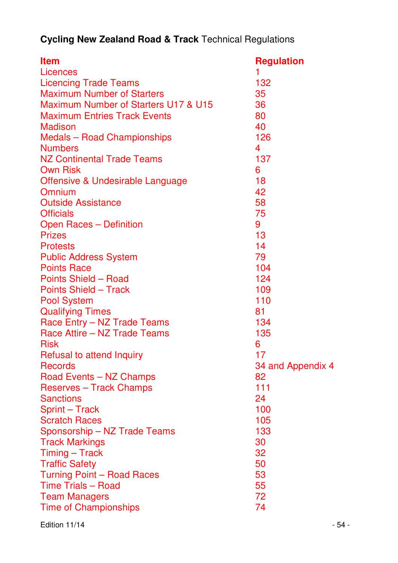| Item                                 | <b>Regulation</b> |
|--------------------------------------|-------------------|
| Licences                             | 1                 |
| <b>Licencing Trade Teams</b>         | 132               |
| <b>Maximum Number of Starters</b>    | 35                |
| Maximum Number of Starters U17 & U15 | 36                |
| <b>Maximum Entries Track Events</b>  | 80                |
| Madison                              | 40                |
| <b>Medals - Road Championships</b>   | 126               |
| <b>Numbers</b>                       | 4                 |
| <b>NZ Continental Trade Teams</b>    | 137               |
| <b>Own Risk</b>                      | 6                 |
| Offensive & Undesirable Language     | 18                |
| Omnium                               | 42                |
| <b>Outside Assistance</b>            | 58                |
| <b>Officials</b>                     | 75                |
| Open Races - Definition              | 9                 |
| <b>Prizes</b>                        | 13                |
| <b>Protests</b>                      | 14                |
| <b>Public Address System</b>         | 79                |
| <b>Points Race</b>                   | 104               |
| Points Shield - Road                 | 124               |
| <b>Points Shield - Track</b>         | 109               |
| <b>Pool System</b>                   | 110               |
| <b>Qualifying Times</b>              | 81                |
| Race Entry - NZ Trade Teams          | 134               |
| Race Attire - NZ Trade Teams         | 135               |
| <b>Risk</b>                          | 6                 |
| Refusal to attend Inquiry            | 17                |
| <b>Records</b>                       | 34 and Appendix 4 |
| Road Events - NZ Champs              | 82                |
| <b>Reserves - Track Champs</b>       | 111               |
| <b>Sanctions</b>                     | 24                |
| Sprint - Track                       | 100               |
| <b>Scratch Races</b>                 | 105               |
| Sponsorship - NZ Trade Teams         | 133               |
| <b>Track Markings</b>                | 30                |
| Timing - Track                       | 32                |
| <b>Traffic Safety</b>                | 50                |
| Turning Point - Road Races           | 53                |
| <b>Time Trials - Road</b>            | 55                |
| <b>Team Managers</b>                 | 72                |
| <b>Time of Championships</b>         | 74                |